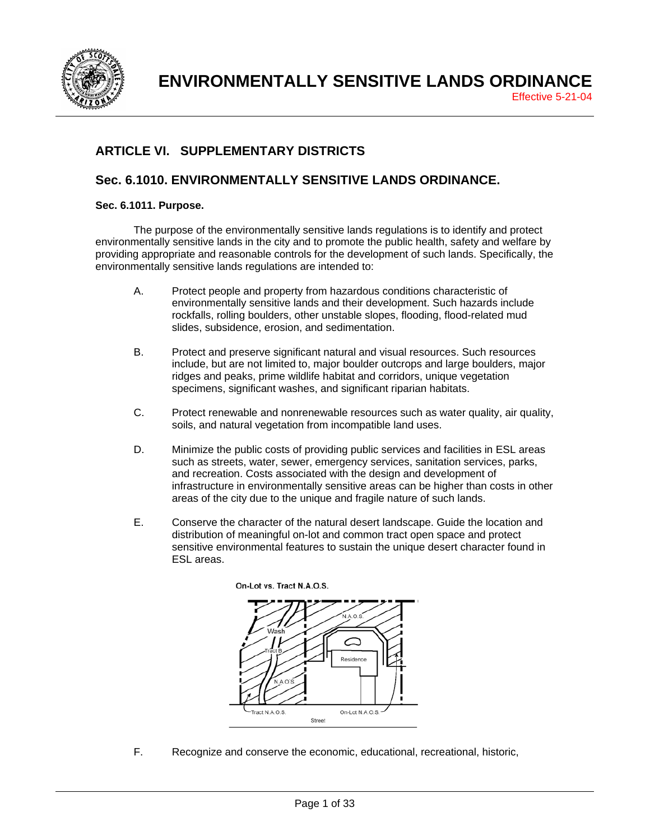

# **ARTICLE VI. SUPPLEMENTARY DISTRICTS**

# **Sec. 6.1010. ENVIRONMENTALLY SENSITIVE LANDS ORDINANCE.**

## **Sec. 6.1011. Purpose.**

The purpose of the environmentally sensitive lands regulations is to identify and protect environmentally sensitive lands in the city and to promote the public health, safety and welfare by providing appropriate and reasonable controls for the development of such lands. Specifically, the environmentally sensitive lands regulations are intended to:

- A. Protect people and property from hazardous conditions characteristic of environmentally sensitive lands and their development. Such hazards include rockfalls, rolling boulders, other unstable slopes, flooding, flood-related mud slides, subsidence, erosion, and sedimentation.
- B. Protect and preserve significant natural and visual resources. Such resources include, but are not limited to, major boulder outcrops and large boulders, major ridges and peaks, prime wildlife habitat and corridors, unique vegetation specimens, significant washes, and significant riparian habitats.
- C. Protect renewable and nonrenewable resources such as water quality, air quality, soils, and natural vegetation from incompatible land uses.
- D. Minimize the public costs of providing public services and facilities in ESL areas such as streets, water, sewer, emergency services, sanitation services, parks, and recreation. Costs associated with the design and development of infrastructure in environmentally sensitive areas can be higher than costs in other areas of the city due to the unique and fragile nature of such lands.
- E. Conserve the character of the natural desert landscape. Guide the location and distribution of meaningful on-lot and common tract open space and protect sensitive environmental features to sustain the unique desert character found in ESL areas.



F. Recognize and conserve the economic, educational, recreational, historic,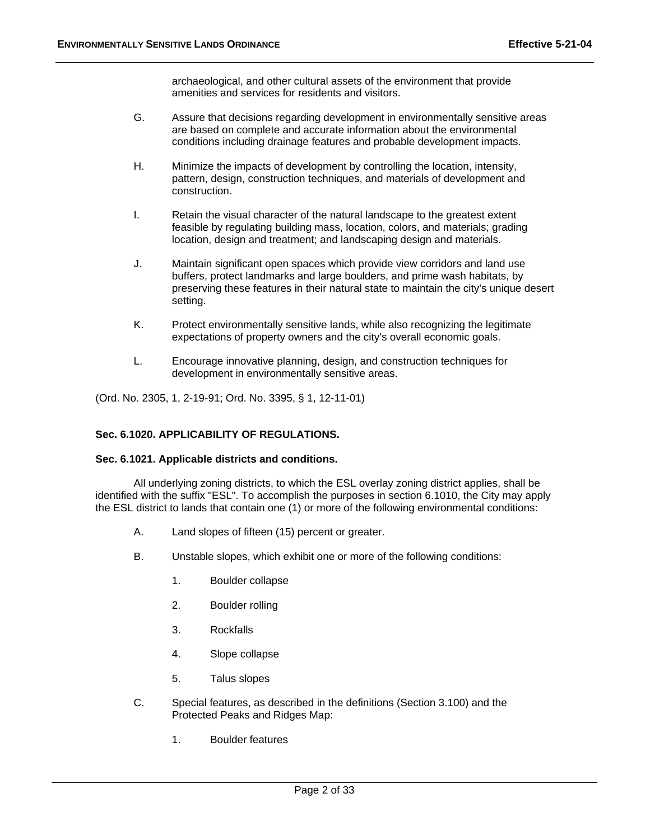archaeological, and other cultural assets of the environment that provide amenities and services for residents and visitors.

- G. Assure that decisions regarding development in environmentally sensitive areas are based on complete and accurate information about the environmental conditions including drainage features and probable development impacts.
- H. Minimize the impacts of development by controlling the location, intensity, pattern, design, construction techniques, and materials of development and construction.
- I. Retain the visual character of the natural landscape to the greatest extent feasible by regulating building mass, location, colors, and materials; grading location, design and treatment; and landscaping design and materials.
- J. Maintain significant open spaces which provide view corridors and land use buffers, protect landmarks and large boulders, and prime wash habitats, by preserving these features in their natural state to maintain the city's unique desert setting.
- K. Protect environmentally sensitive lands, while also recognizing the legitimate expectations of property owners and the city's overall economic goals.
- L. Encourage innovative planning, design, and construction techniques for development in environmentally sensitive areas.

(Ord. No. 2305, 1, 2-19-91; Ord. No. 3395, § 1, 12-11-01)

# **Sec. 6.1020. APPLICABILITY OF REGULATIONS.**

#### **Sec. 6.1021. Applicable districts and conditions.**

All underlying zoning districts, to which the ESL overlay zoning district applies, shall be identified with the suffix "ESL". To accomplish the purposes in section 6.1010, the City may apply the ESL district to lands that contain one (1) or more of the following environmental conditions:

- A. Land slopes of fifteen (15) percent or greater.
- B. Unstable slopes, which exhibit one or more of the following conditions:
	- 1. Boulder collapse
	- 2. Boulder rolling
	- 3. Rockfalls
	- 4. Slope collapse
	- 5. Talus slopes
- C. Special features, as described in the definitions (Section 3.100) and the Protected Peaks and Ridges Map:
	- 1. Boulder features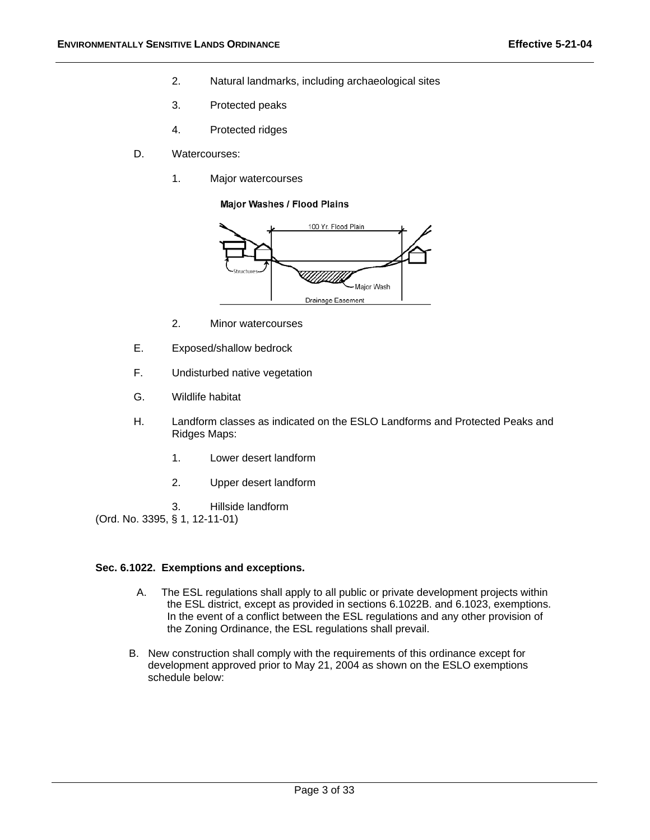- 2. Natural landmarks, including archaeological sites
- 3. Protected peaks
- 4. Protected ridges
- D. Watercourses:
	- 1. Major watercourses

Major Washes / Flood Plains



- 2. Minor watercourses
- E. Exposed/shallow bedrock
- F. Undisturbed native vegetation
- G. Wildlife habitat
- H. Landform classes as indicated on the ESLO Landforms and Protected Peaks and Ridges Maps:
	- 1. Lower desert landform
	- 2. Upper desert landform
- 3. Hillside landform
- (Ord. No. 3395, § 1, 12-11-01)

#### **Sec. 6.1022. Exemptions and exceptions.**

- A. The ESL regulations shall apply to all public or private development projects within the ESL district, except as provided in sections 6.1022B. and 6.1023, exemptions. In the event of a conflict between the ESL regulations and any other provision of the Zoning Ordinance, the ESL regulations shall prevail.
- B. New construction shall comply with the requirements of this ordinance except for development approved prior to May 21, 2004 as shown on the ESLO exemptions schedule below: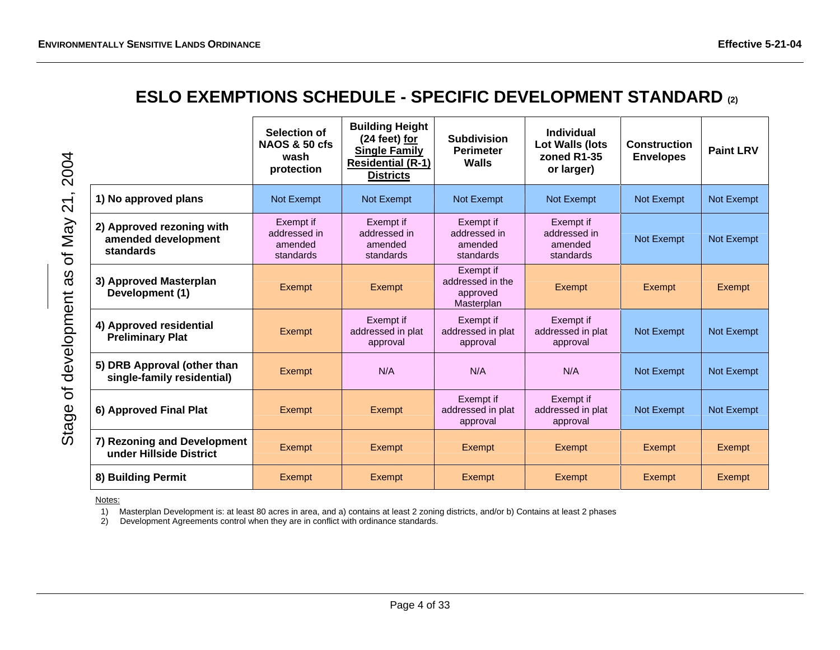# **ESLO EXEMPTIONS SCHEDULE - SPECIFIC DEVELOPMENT STANDARD (2)**

| 2004        |                                                               | Selection of<br><b>NAOS &amp; 50 cfs</b><br>wash<br>protection | <b>Building Height</b><br>(24 feet) for<br><b>Single Family</b><br><b>Residential (R-1)</b><br><b>Districts</b> | <b>Subdivision</b><br><b>Perimeter</b><br><b>Walls</b>  | <b>Individual</b><br>Lot Walls (lots<br>zoned R1-35<br>or larger) | <b>Construction</b><br><b>Envelopes</b> | <b>Paint LRV</b>  |
|-------------|---------------------------------------------------------------|----------------------------------------------------------------|-----------------------------------------------------------------------------------------------------------------|---------------------------------------------------------|-------------------------------------------------------------------|-----------------------------------------|-------------------|
| 21          | 1) No approved plans                                          | <b>Not Exempt</b>                                              | Not Exempt                                                                                                      | Not Exempt                                              | Not Exempt                                                        | Not Exempt                              | <b>Not Exempt</b> |
| of May      | 2) Approved rezoning with<br>amended development<br>standards | Exempt if<br>addressed in<br>amended<br>standards              | Exempt if<br>addressed in<br>amended<br>standards                                                               | Exempt if<br>addressed in<br>amended<br>standards       | Exempt if<br>addressed in<br>amended<br>standards                 | Not Exempt                              | Not Exempt        |
| SΒ          | 3) Approved Masterplan<br>Development (1)                     | Exempt                                                         | Exempt                                                                                                          | Exempt if<br>addressed in the<br>approved<br>Masterplan | Exempt                                                            | Exempt                                  | Exempt            |
| development | 4) Approved residential<br><b>Preliminary Plat</b>            | <b>Exempt</b>                                                  | Exempt if<br>addressed in plat<br>approval                                                                      | Exempt if<br>addressed in plat<br>approval              | Exempt if<br>addressed in plat<br>approval                        | Not Exempt                              | <b>Not Exempt</b> |
|             | 5) DRB Approval (other than<br>single-family residential)     | Exempt                                                         | N/A                                                                                                             | N/A                                                     | N/A                                                               | Not Exempt                              | Not Exempt        |
| ঠ<br>Stage  | 6) Approved Final Plat                                        | Exempt                                                         | Exempt                                                                                                          | Exempt if<br>addressed in plat<br>approval              | Exempt if<br>addressed in plat<br>approval                        | Not Exempt                              | Not Exempt        |
|             | 7) Rezoning and Development<br>under Hillside District        | Exempt                                                         | Exempt                                                                                                          | Exempt                                                  | Exempt                                                            | Exempt                                  | Exempt            |
|             | 8) Building Permit                                            | Exempt                                                         | Exempt                                                                                                          | Exempt                                                  | Exempt                                                            | Exempt                                  | Exempt            |

Notes:

1) Masterplan Development is: at least 80 acres in area, and a) contains at least 2 zoning districts, and/or b) Contains at least 2 phases

2) Development Agreements control when they are in conflict with ordinance standards.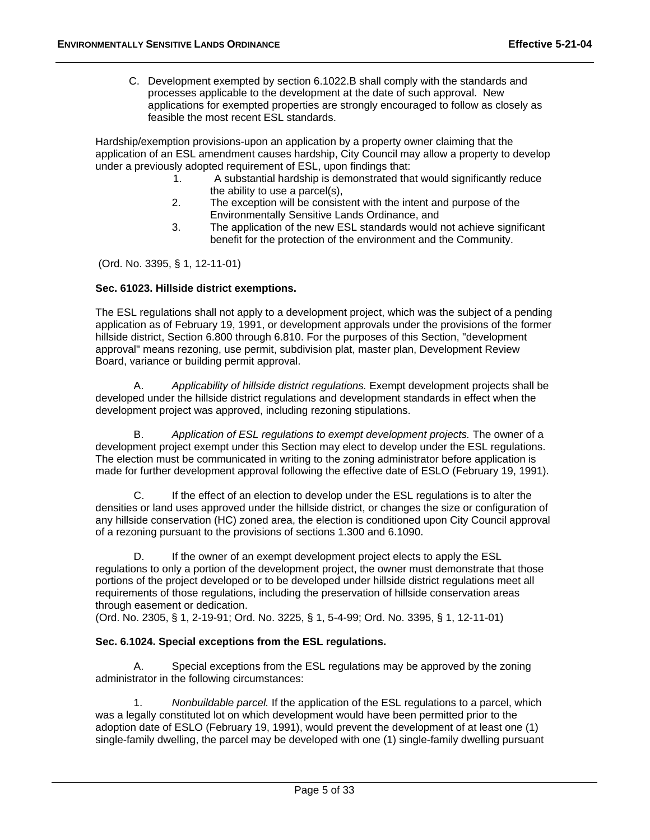C. Development exempted by section 6.1022.B shall comply with the standards and processes applicable to the development at the date of such approval. New applications for exempted properties are strongly encouraged to follow as closely as feasible the most recent ESL standards.

Hardship/exemption provisions-upon an application by a property owner claiming that the application of an ESL amendment causes hardship, City Council may allow a property to develop under a previously adopted requirement of ESL, upon findings that:

- 1. A substantial hardship is demonstrated that would significantly reduce the ability to use a parcel(s),
- 2. The exception will be consistent with the intent and purpose of the Environmentally Sensitive Lands Ordinance, and
- 3. The application of the new ESL standards would not achieve significant benefit for the protection of the environment and the Community.

(Ord. No. 3395, § 1, 12-11-01)

#### **Sec. 61023. Hillside district exemptions.**

The ESL regulations shall not apply to a development project, which was the subject of a pending application as of February 19, 1991, or development approvals under the provisions of the former hillside district, Section 6.800 through 6.810. For the purposes of this Section, "development approval" means rezoning, use permit, subdivision plat, master plan, Development Review Board, variance or building permit approval.

 A. *Applicability of hillside district regulations.* Exempt development projects shall be developed under the hillside district regulations and development standards in effect when the development project was approved, including rezoning stipulations.

 B. *Application of ESL regulations to exempt development projects.* The owner of a development project exempt under this Section may elect to develop under the ESL regulations. The election must be communicated in writing to the zoning administrator before application is made for further development approval following the effective date of ESLO (February 19, 1991).

 C. If the effect of an election to develop under the ESL regulations is to alter the densities or land uses approved under the hillside district, or changes the size or configuration of any hillside conservation (HC) zoned area, the election is conditioned upon City Council approval of a rezoning pursuant to the provisions of sections 1.300 and 6.1090.

D. If the owner of an exempt development project elects to apply the ESL regulations to only a portion of the development project, the owner must demonstrate that those portions of the project developed or to be developed under hillside district regulations meet all requirements of those regulations, including the preservation of hillside conservation areas through easement or dedication.

(Ord. No. 2305, § 1, 2-19-91; Ord. No. 3225, § 1, 5-4-99; Ord. No. 3395, § 1, 12-11-01)

#### Sec. 6.1024. Special exceptions from the ESL regulations.

A. Special exceptions from the ESL regulations may be approved by the zoning administrator in the following circumstances:

 1. *Nonbuildable parcel.* If the application of the ESL regulations to a parcel, which was a legally constituted lot on which development would have been permitted prior to the adoption date of ESLO (February 19, 1991), would prevent the development of at least one (1) single-family dwelling, the parcel may be developed with one (1) single-family dwelling pursuant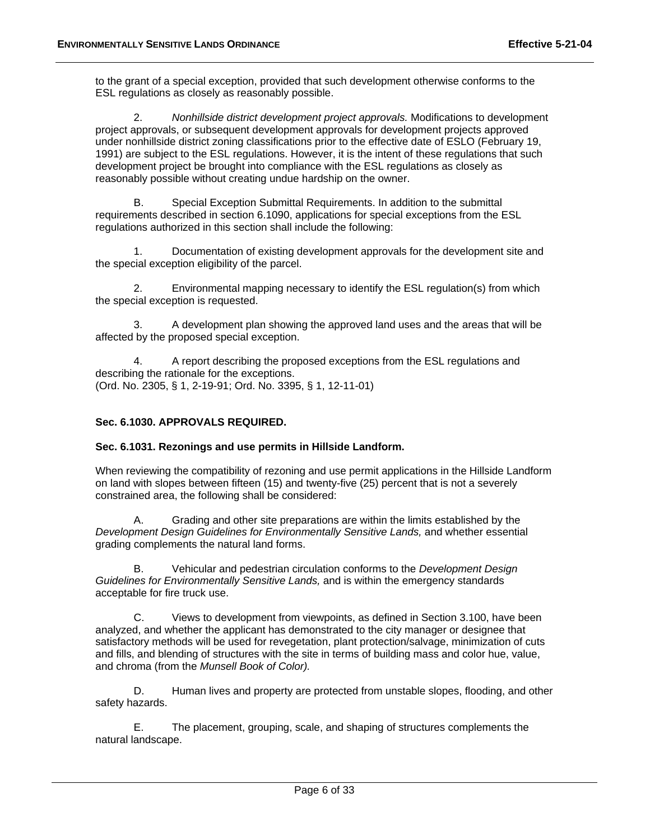to the grant of a special exception, provided that such development otherwise conforms to the ESL regulations as closely as reasonably possible.

 2. *Nonhillside district development project approvals.* Modifications to development project approvals, or subsequent development approvals for development projects approved under nonhillside district zoning classifications prior to the effective date of ESLO (February 19, 1991) are subject to the ESL regulations. However, it is the intent of these regulations that such development project be brought into compliance with the ESL regulations as closely as reasonably possible without creating undue hardship on the owner.

B. Special Exception Submittal Requirements. In addition to the submittal requirements described in section 6.1090, applications for special exceptions from the ESL regulations authorized in this section shall include the following:

 1. Documentation of existing development approvals for the development site and the special exception eligibility of the parcel.

 2. Environmental mapping necessary to identify the ESL regulation(s) from which the special exception is requested.

 3. A development plan showing the approved land uses and the areas that will be affected by the proposed special exception.

 4. A report describing the proposed exceptions from the ESL regulations and describing the rationale for the exceptions. (Ord. No. 2305, § 1, 2-19-91; Ord. No. 3395, § 1, 12-11-01)

# **Sec. 6.1030. APPROVALS REQUIRED.**

**Sec. 6.1031. Rezonings and use permits in Hillside Landform.** 

When reviewing the compatibility of rezoning and use permit applications in the Hillside Landform on land with slopes between fifteen (15) and twenty-five (25) percent that is not a severely constrained area, the following shall be considered:

 A. Grading and other site preparations are within the limits established by the *Development Design Guidelines for Environmentally Sensitive Lands,* and whether essential grading complements the natural land forms.

 B. Vehicular and pedestrian circulation conforms to the *Development Design Guidelines for Environmentally Sensitive Lands,* and is within the emergency standards acceptable for fire truck use.

 C. Views to development from viewpoints, as defined in Section 3.100, have been analyzed, and whether the applicant has demonstrated to the city manager or designee that satisfactory methods will be used for revegetation, plant protection/salvage, minimization of cuts and fills, and blending of structures with the site in terms of building mass and color hue, value, and chroma (from the *Munsell Book of Color).*

 D. Human lives and property are protected from unstable slopes, flooding, and other safety hazards.

 E. The placement, grouping, scale, and shaping of structures complements the natural landscape.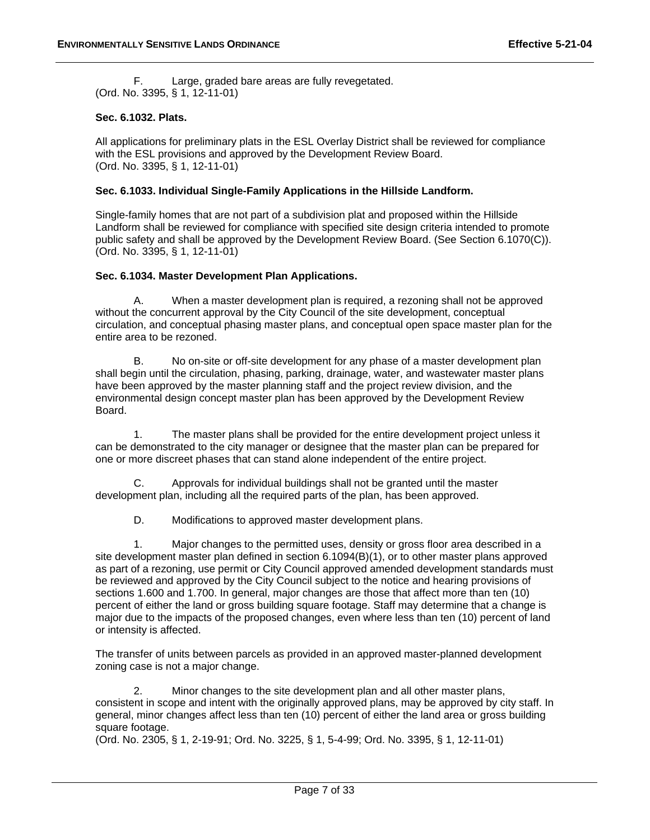F. Large, graded bare areas are fully revegetated. (Ord. No. 3395, § 1, 12-11-01)

## **Sec. 6.1032. Plats.**

All applications for preliminary plats in the ESL Overlay District shall be reviewed for compliance with the ESL provisions and approved by the Development Review Board. (Ord. No. 3395, § 1, 12-11-01)

### **Sec. 6.1033. Individual Single-Family Applications in the Hillside Landform.**

Single-family homes that are not part of a subdivision plat and proposed within the Hillside Landform shall be reviewed for compliance with specified site design criteria intended to promote public safety and shall be approved by the Development Review Board. (See Section 6.1070(C)). (Ord. No. 3395, § 1, 12-11-01)

#### **Sec. 6.1034. Master Development Plan Applications.**

A. When a master development plan is required, a rezoning shall not be approved without the concurrent approval by the City Council of the site development, conceptual circulation, and conceptual phasing master plans, and conceptual open space master plan for the entire area to be rezoned.

B. No on-site or off-site development for any phase of a master development plan shall begin until the circulation, phasing, parking, drainage, water, and wastewater master plans have been approved by the master planning staff and the project review division, and the environmental design concept master plan has been approved by the Development Review Board.

 1. The master plans shall be provided for the entire development project unless it can be demonstrated to the city manager or designee that the master plan can be prepared for one or more discreet phases that can stand alone independent of the entire project.

C. Approvals for individual buildings shall not be granted until the master development plan, including all the required parts of the plan, has been approved.

D. Modifications to approved master development plans.

 1. Major changes to the permitted uses, density or gross floor area described in a site development master plan defined in section 6.1094(B)(1), or to other master plans approved as part of a rezoning, use permit or City Council approved amended development standards must be reviewed and approved by the City Council subject to the notice and hearing provisions of sections 1.600 and 1.700. In general, major changes are those that affect more than ten (10) percent of either the land or gross building square footage. Staff may determine that a change is major due to the impacts of the proposed changes, even where less than ten (10) percent of land or intensity is affected.

The transfer of units between parcels as provided in an approved master-planned development zoning case is not a major change.

 2. Minor changes to the site development plan and all other master plans, consistent in scope and intent with the originally approved plans, may be approved by city staff. In general, minor changes affect less than ten (10) percent of either the land area or gross building square footage.

(Ord. No. 2305, § 1, 2-19-91; Ord. No. 3225, § 1, 5-4-99; Ord. No. 3395, § 1, 12-11-01)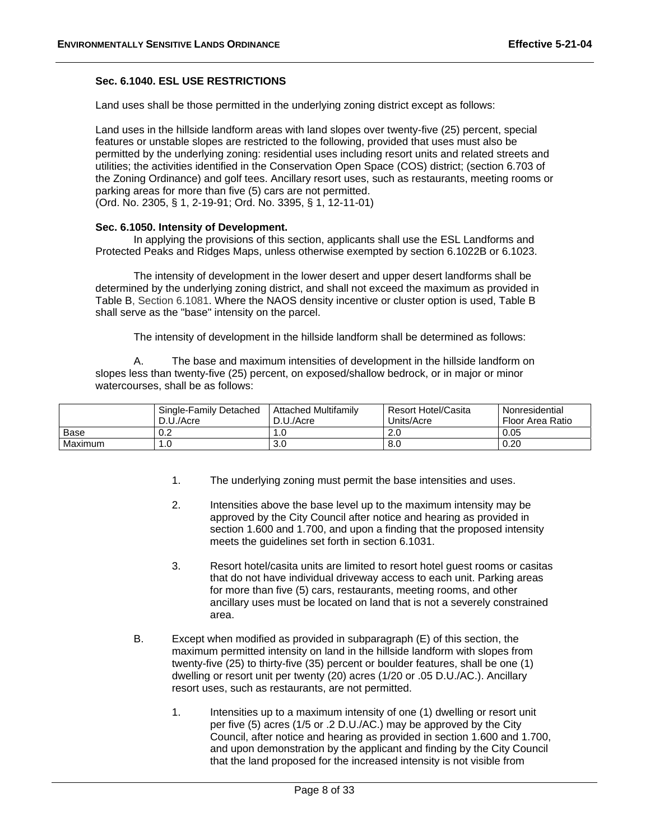## **Sec. 6.1040. ESL USE RESTRICTIONS**

Land uses shall be those permitted in the underlying zoning district except as follows:

Land uses in the hillside landform areas with land slopes over twenty-five (25) percent, special features or unstable slopes are restricted to the following, provided that uses must also be permitted by the underlying zoning: residential uses including resort units and related streets and utilities; the activities identified in the Conservation Open Space (COS) district; (section 6.703 of the Zoning Ordinance) and golf tees. Ancillary resort uses, such as restaurants, meeting rooms or parking areas for more than five (5) cars are not permitted. (Ord. No. 2305, § 1, 2-19-91; Ord. No. 3395, § 1, 12-11-01)

#### **Sec. 6.1050. Intensity of Development.**

In applying the provisions of this section, applicants shall use the ESL Landforms and Protected Peaks and Ridges Maps, unless otherwise exempted by section 6.1022B or 6.1023.

The intensity of development in the lower desert and upper desert landforms shall be determined by the underlying zoning district, and shall not exceed the maximum as provided in Table B, Section 6.1081. Where the NAOS density incentive or cluster option is used, Table B shall serve as the "base" intensity on the parcel.

The intensity of development in the hillside landform shall be determined as follows:

 A. The base and maximum intensities of development in the hillside landform on slopes less than twenty-five (25) percent, on exposed/shallow bedrock, or in major or minor watercourses, shall be as follows:

|         | Single-Family Detached | <b>Attached Multifamily</b> | Resort Hotel/Casita | Nonresidential   |
|---------|------------------------|-----------------------------|---------------------|------------------|
|         | D.U./Acre              | D.U./Acre                   | Units/Acre          | Floor Area Ratio |
| Base    | v.z                    | l.U                         | 2.0                 | 0.05             |
| Maximum | 1.0                    | 3.0                         | 8.0                 | 0.20             |

- 1. The underlying zoning must permit the base intensities and uses.
- 2. Intensities above the base level up to the maximum intensity may be approved by the City Council after notice and hearing as provided in section 1.600 and 1.700, and upon a finding that the proposed intensity meets the guidelines set forth in section 6.1031.
- 3. Resort hotel/casita units are limited to resort hotel guest rooms or casitas that do not have individual driveway access to each unit. Parking areas for more than five (5) cars, restaurants, meeting rooms, and other ancillary uses must be located on land that is not a severely constrained area.
- B. Except when modified as provided in subparagraph (E) of this section, the maximum permitted intensity on land in the hillside landform with slopes from twenty-five (25) to thirty-five (35) percent or boulder features, shall be one (1) dwelling or resort unit per twenty (20) acres (1/20 or .05 D.U./AC.). Ancillary resort uses, such as restaurants, are not permitted.
	- 1. Intensities up to a maximum intensity of one (1) dwelling or resort unit per five (5) acres (1/5 or .2 D.U./AC.) may be approved by the City Council, after notice and hearing as provided in section 1.600 and 1.700, and upon demonstration by the applicant and finding by the City Council that the land proposed for the increased intensity is not visible from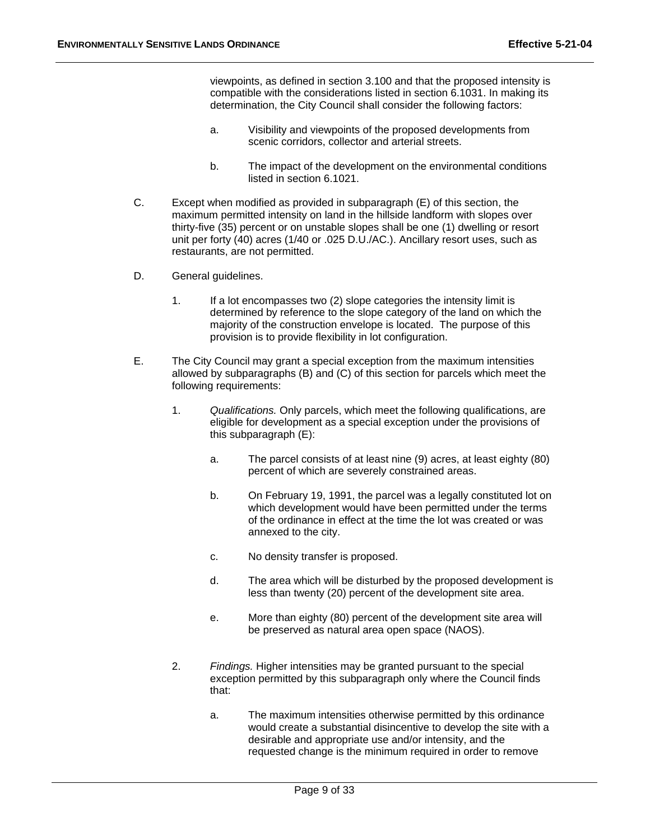viewpoints, as defined in section 3.100 and that the proposed intensity is compatible with the considerations listed in section 6.1031. In making its determination, the City Council shall consider the following factors:

- a. Visibility and viewpoints of the proposed developments from scenic corridors, collector and arterial streets.
- b. The impact of the development on the environmental conditions listed in section 6.1021.
- C. Except when modified as provided in subparagraph (E) of this section, the maximum permitted intensity on land in the hillside landform with slopes over thirty-five (35) percent or on unstable slopes shall be one (1) dwelling or resort unit per forty (40) acres (1/40 or .025 D.U./AC.). Ancillary resort uses, such as restaurants, are not permitted.
- D. General guidelines.
	- 1. If a lot encompasses two (2) slope categories the intensity limit is determined by reference to the slope category of the land on which the majority of the construction envelope is located. The purpose of this provision is to provide flexibility in lot configuration.
- E. The City Council may grant a special exception from the maximum intensities allowed by subparagraphs (B) and (C) of this section for parcels which meet the following requirements:
	- 1. *Qualifications.* Only parcels, which meet the following qualifications, are eligible for development as a special exception under the provisions of this subparagraph (E):
		- a. The parcel consists of at least nine (9) acres, at least eighty (80) percent of which are severely constrained areas.
		- b. On February 19, 1991, the parcel was a legally constituted lot on which development would have been permitted under the terms of the ordinance in effect at the time the lot was created or was annexed to the city.
		- c. No density transfer is proposed.
		- d. The area which will be disturbed by the proposed development is less than twenty (20) percent of the development site area.
		- e. More than eighty (80) percent of the development site area will be preserved as natural area open space (NAOS).
	- 2. *Findings.* Higher intensities may be granted pursuant to the special exception permitted by this subparagraph only where the Council finds that:
		- a. The maximum intensities otherwise permitted by this ordinance would create a substantial disincentive to develop the site with a desirable and appropriate use and/or intensity, and the requested change is the minimum required in order to remove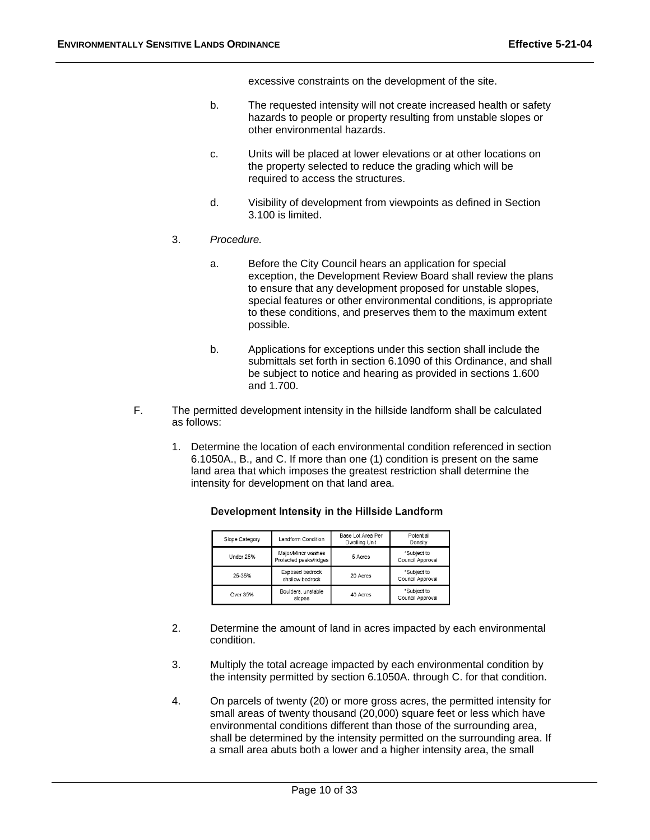excessive constraints on the development of the site.

- b. The requested intensity will not create increased health or safety hazards to people or property resulting from unstable slopes or other environmental hazards.
- c. Units will be placed at lower elevations or at other locations on the property selected to reduce the grading which will be required to access the structures.
- d. Visibility of development from viewpoints as defined in Section 3.100 is limited.
- 3. *Procedure.*
	- a. Before the City Council hears an application for special exception, the Development Review Board shall review the plans to ensure that any development proposed for unstable slopes, special features or other environmental conditions, is appropriate to these conditions, and preserves them to the maximum extent possible.
	- b. Applications for exceptions under this section shall include the submittals set forth in section 6.1090 of this Ordinance, and shall be subject to notice and hearing as provided in sections 1.600 and 1.700.
- F. The permitted development intensity in the hillside landform shall be calculated as follows:
	- 1. Determine the location of each environmental condition referenced in section 6.1050A., B., and C. If more than one (1) condition is present on the same land area that which imposes the greatest restriction shall determine the intensity for development on that land area.

| Slope Category | Landform Condition                           | Base Lot Area Per<br>Dwelling Unit | Potential<br>Density            |
|----------------|----------------------------------------------|------------------------------------|---------------------------------|
| Under 25%      | Major/Minor washes<br>Protected peaks/ridges | 5 Acres                            | *Subject to<br>Council Approval |
| 25-35%         | Exposed bedrock<br>shallow bedrock           | 20 Acres                           | *Subject to<br>Council Approval |
| Over 35%       | Boulders, unstable<br>slopes                 | 40 Acres                           | *Subject to<br>Council Approval |

#### Development Intensity in the Hillside Landform

- 2. Determine the amount of land in acres impacted by each environmental condition.
- 3. Multiply the total acreage impacted by each environmental condition by the intensity permitted by section 6.1050A. through C. for that condition.
- 4. On parcels of twenty (20) or more gross acres, the permitted intensity for small areas of twenty thousand (20,000) square feet or less which have environmental conditions different than those of the surrounding area, shall be determined by the intensity permitted on the surrounding area. If a small area abuts both a lower and a higher intensity area, the small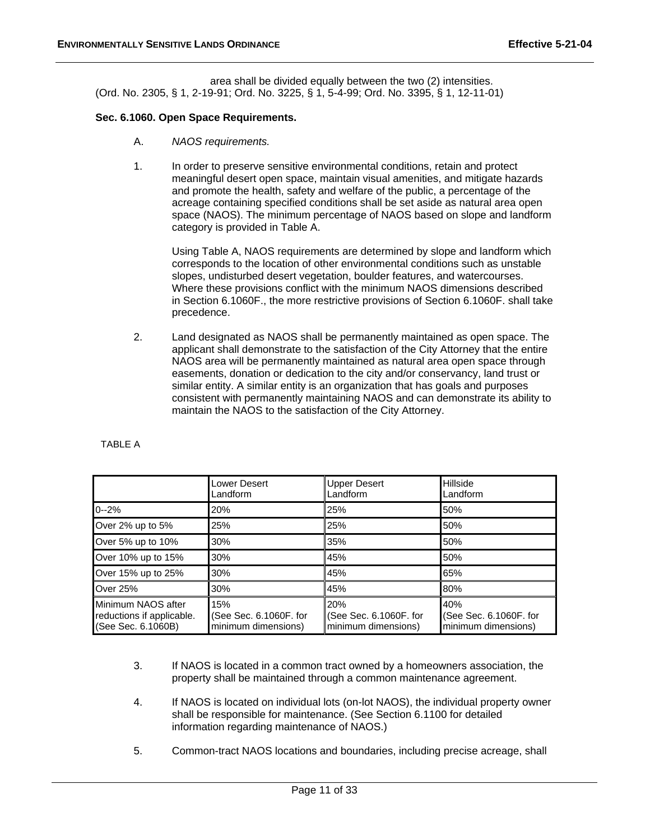area shall be divided equally between the two (2) intensities. (Ord. No. 2305, § 1, 2-19-91; Ord. No. 3225, § 1, 5-4-99; Ord. No. 3395, § 1, 12-11-01)

#### **Sec. 6.1060. Open Space Requirements.**

- A. *NAOS requirements.*
- 1. In order to preserve sensitive environmental conditions, retain and protect meaningful desert open space, maintain visual amenities, and mitigate hazards and promote the health, safety and welfare of the public, a percentage of the acreage containing specified conditions shall be set aside as natural area open space (NAOS). The minimum percentage of NAOS based on slope and landform category is provided in Table A.

Using Table A, NAOS requirements are determined by slope and landform which corresponds to the location of other environmental conditions such as unstable slopes, undisturbed desert vegetation, boulder features, and watercourses. Where these provisions conflict with the minimum NAOS dimensions described in Section 6.1060F., the more restrictive provisions of Section 6.1060F. shall take precedence.

2. Land designated as NAOS shall be permanently maintained as open space. The applicant shall demonstrate to the satisfaction of the City Attorney that the entire NAOS area will be permanently maintained as natural area open space through easements, donation or dedication to the city and/or conservancy, land trust or similar entity. A similar entity is an organization that has goals and purposes consistent with permanently maintaining NAOS and can demonstrate its ability to maintain the NAOS to the satisfaction of the City Attorney.

|                                                                       | <b>Lower Desert</b><br>Landform                      | <b>Upper Desert</b><br>Landform                      | Hillside<br>Landform                                 |
|-----------------------------------------------------------------------|------------------------------------------------------|------------------------------------------------------|------------------------------------------------------|
| $0 - 2%$                                                              | 20%                                                  | 25%                                                  | 50%                                                  |
| Over 2% up to 5%                                                      | 25%                                                  | 25%                                                  | 50%                                                  |
| Over 5% up to 10%                                                     | 30%                                                  | 35%                                                  | 50%                                                  |
| Over 10% up to 15%                                                    | 30%                                                  | 45%                                                  | 50%                                                  |
| Over 15% up to 25%                                                    | 30%                                                  | 45%                                                  | 65%                                                  |
| Over 25%                                                              | 30%                                                  | 45%                                                  | 80%                                                  |
| Minimum NAOS after<br>reductions if applicable.<br>(See Sec. 6.1060B) | 15%<br>(See Sec. 6.1060F. for<br>minimum dimensions) | 20%<br>(See Sec. 6.1060F. for<br>minimum dimensions) | 40%<br>(See Sec. 6.1060F. for<br>minimum dimensions) |

TABLE A

- 3. If NAOS is located in a common tract owned by a homeowners association, the property shall be maintained through a common maintenance agreement.
- 4. If NAOS is located on individual lots (on-lot NAOS), the individual property owner shall be responsible for maintenance. (See Section 6.1100 for detailed information regarding maintenance of NAOS.)
- 5. Common-tract NAOS locations and boundaries, including precise acreage, shall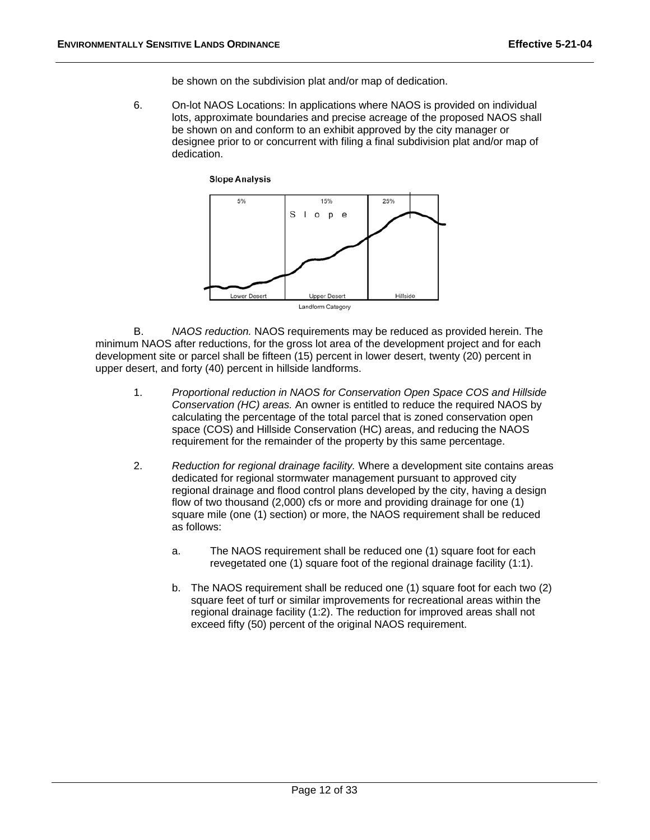be shown on the subdivision plat and/or map of dedication.

 6. On-lot NAOS Locations: In applications where NAOS is provided on individual lots, approximate boundaries and precise acreage of the proposed NAOS shall be shown on and conform to an exhibit approved by the city manager or designee prior to or concurrent with filing a final subdivision plat and/or map of dedication.

**Slope Analysis** 



 B. *NAOS reduction.* NAOS requirements may be reduced as provided herein. The minimum NAOS after reductions, for the gross lot area of the development project and for each development site or parcel shall be fifteen (15) percent in lower desert, twenty (20) percent in upper desert, and forty (40) percent in hillside landforms.

- 1. *Proportional reduction in NAOS for Conservation Open Space COS and Hillside Conservation (HC) areas.* An owner is entitled to reduce the required NAOS by calculating the percentage of the total parcel that is zoned conservation open space (COS) and Hillside Conservation (HC) areas, and reducing the NAOS requirement for the remainder of the property by this same percentage.
- 2. *Reduction for regional drainage facility.* Where a development site contains areas dedicated for regional stormwater management pursuant to approved city regional drainage and flood control plans developed by the city, having a design flow of two thousand (2,000) cfs or more and providing drainage for one (1) square mile (one (1) section) or more, the NAOS requirement shall be reduced as follows:
	- a. The NAOS requirement shall be reduced one (1) square foot for each revegetated one (1) square foot of the regional drainage facility (1:1).
	- b. The NAOS requirement shall be reduced one (1) square foot for each two (2) square feet of turf or similar improvements for recreational areas within the regional drainage facility (1:2). The reduction for improved areas shall not exceed fifty (50) percent of the original NAOS requirement.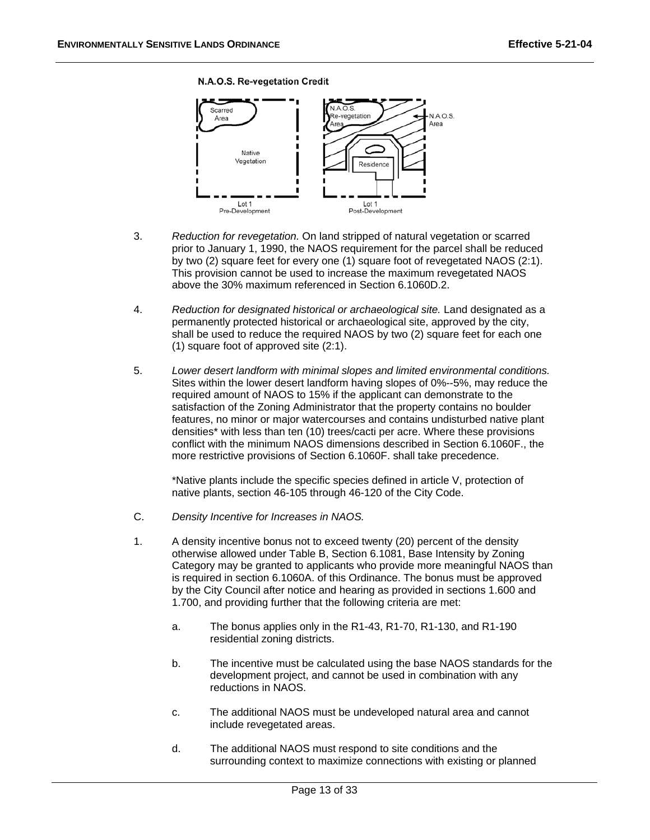#### N.A.O.S. Re-vegetation Credit



- 3. *Reduction for revegetation.* On land stripped of natural vegetation or scarred prior to January 1, 1990, the NAOS requirement for the parcel shall be reduced by two (2) square feet for every one (1) square foot of revegetated NAOS (2:1). This provision cannot be used to increase the maximum revegetated NAOS above the 30% maximum referenced in Section 6.1060D.2.
- 4. *Reduction for designated historical or archaeological site.* Land designated as a permanently protected historical or archaeological site, approved by the city, shall be used to reduce the required NAOS by two (2) square feet for each one (1) square foot of approved site (2:1).
- 5. *Lower desert landform with minimal slopes and limited environmental conditions.* Sites within the lower desert landform having slopes of 0%--5%, may reduce the required amount of NAOS to 15% if the applicant can demonstrate to the satisfaction of the Zoning Administrator that the property contains no boulder features, no minor or major watercourses and contains undisturbed native plant densities\* with less than ten (10) trees/cacti per acre. Where these provisions conflict with the minimum NAOS dimensions described in Section 6.1060F., the more restrictive provisions of Section 6.1060F. shall take precedence.

\*Native plants include the specific species defined in article V, protection of native plants, section 46-105 through 46-120 of the City Code.

- C. *Density Incentive for Increases in NAOS.*
- 1. A density incentive bonus not to exceed twenty (20) percent of the density otherwise allowed under Table B, Section 6.1081, Base Intensity by Zoning Category may be granted to applicants who provide more meaningful NAOS than is required in section 6.1060A. of this Ordinance. The bonus must be approved by the City Council after notice and hearing as provided in sections 1.600 and 1.700, and providing further that the following criteria are met:
	- a. The bonus applies only in the R1-43, R1-70, R1-130, and R1-190 residential zoning districts.
	- b. The incentive must be calculated using the base NAOS standards for the development project, and cannot be used in combination with any reductions in NAOS.
	- c. The additional NAOS must be undeveloped natural area and cannot include revegetated areas.
	- d. The additional NAOS must respond to site conditions and the surrounding context to maximize connections with existing or planned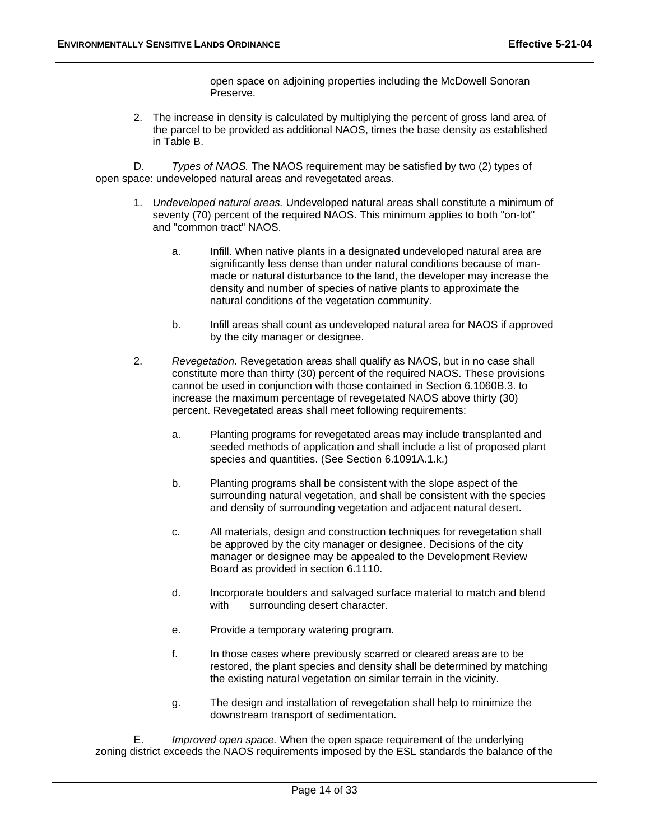open space on adjoining properties including the McDowell Sonoran Preserve.

2. The increase in density is calculated by multiplying the percent of gross land area of the parcel to be provided as additional NAOS, times the base density as established in Table B.

 D. *Types of NAOS.* The NAOS requirement may be satisfied by two (2) types of open space: undeveloped natural areas and revegetated areas.

- 1. *Undeveloped natural areas.* Undeveloped natural areas shall constitute a minimum of seventy (70) percent of the required NAOS. This minimum applies to both "on-lot" and "common tract" NAOS.
	- a. Infill. When native plants in a designated undeveloped natural area are significantly less dense than under natural conditions because of manmade or natural disturbance to the land, the developer may increase the density and number of species of native plants to approximate the natural conditions of the vegetation community.
	- b. Infill areas shall count as undeveloped natural area for NAOS if approved by the city manager or designee.
- 2. *Revegetation.* Revegetation areas shall qualify as NAOS, but in no case shall constitute more than thirty (30) percent of the required NAOS. These provisions cannot be used in conjunction with those contained in Section 6.1060B.3. to increase the maximum percentage of revegetated NAOS above thirty (30) percent. Revegetated areas shall meet following requirements:
	- a. Planting programs for revegetated areas may include transplanted and seeded methods of application and shall include a list of proposed plant species and quantities. (See Section 6.1091A.1.k.)
	- b. Planting programs shall be consistent with the slope aspect of the surrounding natural vegetation, and shall be consistent with the species and density of surrounding vegetation and adjacent natural desert.
	- c. All materials, design and construction techniques for revegetation shall be approved by the city manager or designee. Decisions of the city manager or designee may be appealed to the Development Review Board as provided in section 6.1110.
	- d. Incorporate boulders and salvaged surface material to match and blend with surrounding desert character.
	- e. Provide a temporary watering program.
	- f. In those cases where previously scarred or cleared areas are to be restored, the plant species and density shall be determined by matching the existing natural vegetation on similar terrain in the vicinity.
	- g. The design and installation of revegetation shall help to minimize the downstream transport of sedimentation.

 E. *Improved open space.* When the open space requirement of the underlying zoning district exceeds the NAOS requirements imposed by the ESL standards the balance of the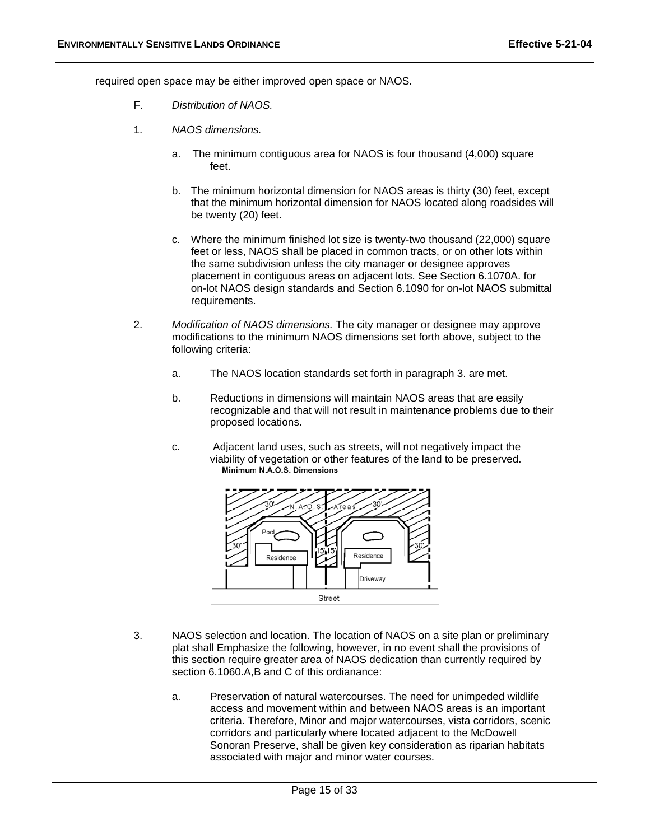required open space may be either improved open space or NAOS.

- F. *Distribution of NAOS.*
- 1. *NAOS dimensions.*
	- a. The minimum contiguous area for NAOS is four thousand (4,000) square feet.
	- b. The minimum horizontal dimension for NAOS areas is thirty (30) feet, except that the minimum horizontal dimension for NAOS located along roadsides will be twenty (20) feet.
	- c. Where the minimum finished lot size is twenty-two thousand (22,000) square feet or less, NAOS shall be placed in common tracts, or on other lots within the same subdivision unless the city manager or designee approves placement in contiguous areas on adjacent lots. See Section 6.1070A. for on-lot NAOS design standards and Section 6.1090 for on-lot NAOS submittal requirements.
- 2. *Modification of NAOS dimensions.* The city manager or designee may approve modifications to the minimum NAOS dimensions set forth above, subject to the following criteria:
	- a. The NAOS location standards set forth in paragraph 3. are met.
	- b. Reductions in dimensions will maintain NAOS areas that are easily recognizable and that will not result in maintenance problems due to their proposed locations.
	- c. Adjacent land uses, such as streets, will not negatively impact the viability of vegetation or other features of the land to be preserved.



- 3. NAOS selection and location. The location of NAOS on a site plan or preliminary plat shall Emphasize the following, however, in no event shall the provisions of this section require greater area of NAOS dedication than currently required by section 6.1060.A,B and C of this ordianance:
	- a. Preservation of natural watercourses. The need for unimpeded wildlife access and movement within and between NAOS areas is an important criteria. Therefore, Minor and major watercourses, vista corridors, scenic corridors and particularly where located adjacent to the McDowell Sonoran Preserve, shall be given key consideration as riparian habitats associated with major and minor water courses.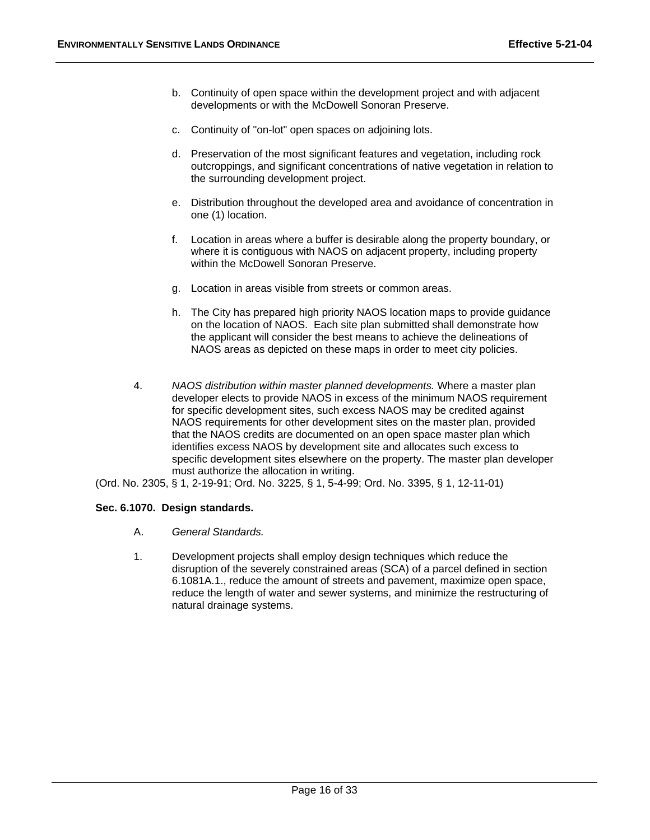- b. Continuity of open space within the development project and with adjacent developments or with the McDowell Sonoran Preserve.
- c. Continuity of "on-lot" open spaces on adjoining lots.
- d. Preservation of the most significant features and vegetation, including rock outcroppings, and significant concentrations of native vegetation in relation to the surrounding development project.
- e. Distribution throughout the developed area and avoidance of concentration in one (1) location.
- f. Location in areas where a buffer is desirable along the property boundary, or where it is contiguous with NAOS on adjacent property, including property within the McDowell Sonoran Preserve.
- g. Location in areas visible from streets or common areas.
- h. The City has prepared high priority NAOS location maps to provide guidance on the location of NAOS. Each site plan submitted shall demonstrate how the applicant will consider the best means to achieve the delineations of NAOS areas as depicted on these maps in order to meet city policies.
- 4. *NAOS distribution within master planned developments.* Where a master plan developer elects to provide NAOS in excess of the minimum NAOS requirement for specific development sites, such excess NAOS may be credited against NAOS requirements for other development sites on the master plan, provided that the NAOS credits are documented on an open space master plan which identifies excess NAOS by development site and allocates such excess to specific development sites elsewhere on the property. The master plan developer must authorize the allocation in writing.
- (Ord. No. 2305, § 1, 2-19-91; Ord. No. 3225, § 1, 5-4-99; Ord. No. 3395, § 1, 12-11-01)

# **Sec. 6.1070. Design standards.**

- A. *General Standards.*
- 1. Development projects shall employ design techniques which reduce the disruption of the severely constrained areas (SCA) of a parcel defined in section 6.1081A.1., reduce the amount of streets and pavement, maximize open space, reduce the length of water and sewer systems, and minimize the restructuring of natural drainage systems.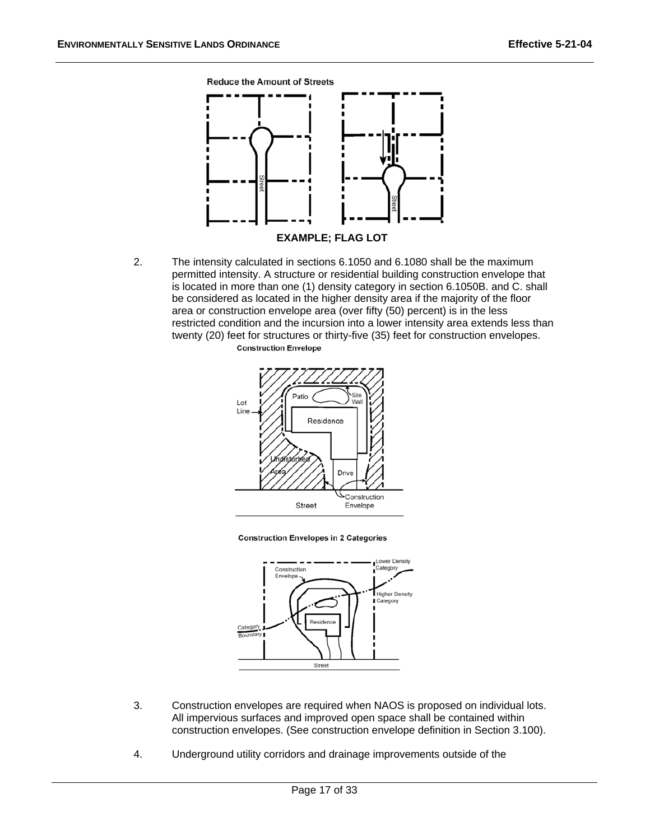**Reduce the Amount of Streets** 



2. The intensity calculated in sections 6.1050 and 6.1080 shall be the maximum permitted intensity. A structure or residential building construction envelope that is located in more than one (1) density category in section 6.1050B. and C. shall be considered as located in the higher density area if the majority of the floor area or construction envelope area (over fifty (50) percent) is in the less restricted condition and the incursion into a lower intensity area extends less than twenty (20) feet for structures or thirty-five (35) feet for construction envelopes.





**Construction Envelopes in 2 Categories** 



- 3. Construction envelopes are required when NAOS is proposed on individual lots. All impervious surfaces and improved open space shall be contained within construction envelopes. (See construction envelope definition in Section 3.100).
- 4. Underground utility corridors and drainage improvements outside of the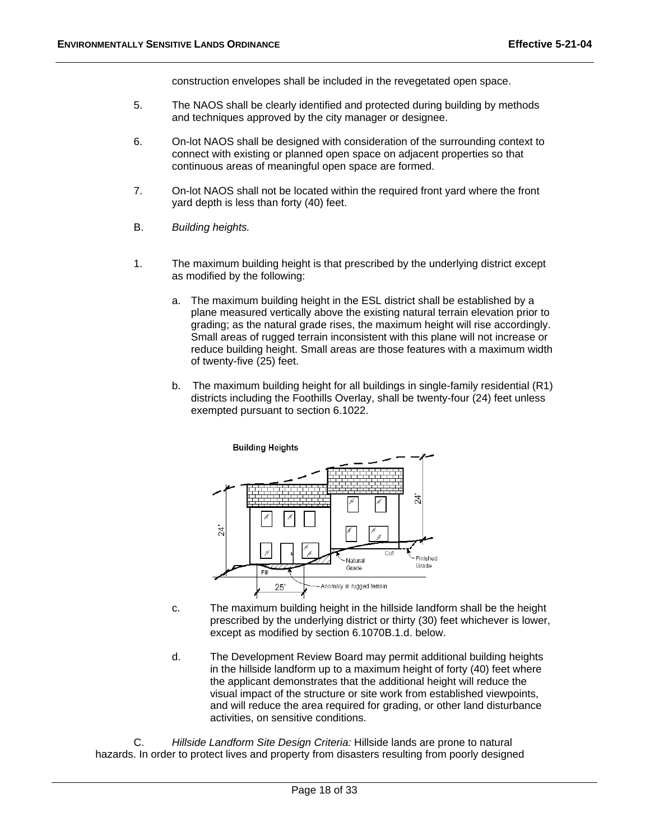construction envelopes shall be included in the revegetated open space.

- 5. The NAOS shall be clearly identified and protected during building by methods and techniques approved by the city manager or designee.
- 6. On-lot NAOS shall be designed with consideration of the surrounding context to connect with existing or planned open space on adjacent properties so that continuous areas of meaningful open space are formed.
- 7. On-lot NAOS shall not be located within the required front yard where the front yard depth is less than forty (40) feet.
- B. *Building heights.*
- 1. The maximum building height is that prescribed by the underlying district except as modified by the following:
	- a. The maximum building height in the ESL district shall be established by a plane measured vertically above the existing natural terrain elevation prior to grading; as the natural grade rises, the maximum height will rise accordingly. Small areas of rugged terrain inconsistent with this plane will not increase or reduce building height. Small areas are those features with a maximum width of twenty-five (25) feet.
	- b. The maximum building height for all buildings in single-family residential (R1) districts including the Foothills Overlay, shall be twenty-four (24) feet unless exempted pursuant to section 6.1022.



- c. The maximum building height in the hillside landform shall be the height prescribed by the underlying district or thirty (30) feet whichever is lower, except as modified by section 6.1070B.1.d. below.
- d. The Development Review Board may permit additional building heights in the hillside landform up to a maximum height of forty (40) feet where the applicant demonstrates that the additional height will reduce the visual impact of the structure or site work from established viewpoints, and will reduce the area required for grading, or other land disturbance activities, on sensitive conditions.

 C. *Hillside Landform Site Design Criteria:* Hillside lands are prone to natural hazards. In order to protect lives and property from disasters resulting from poorly designed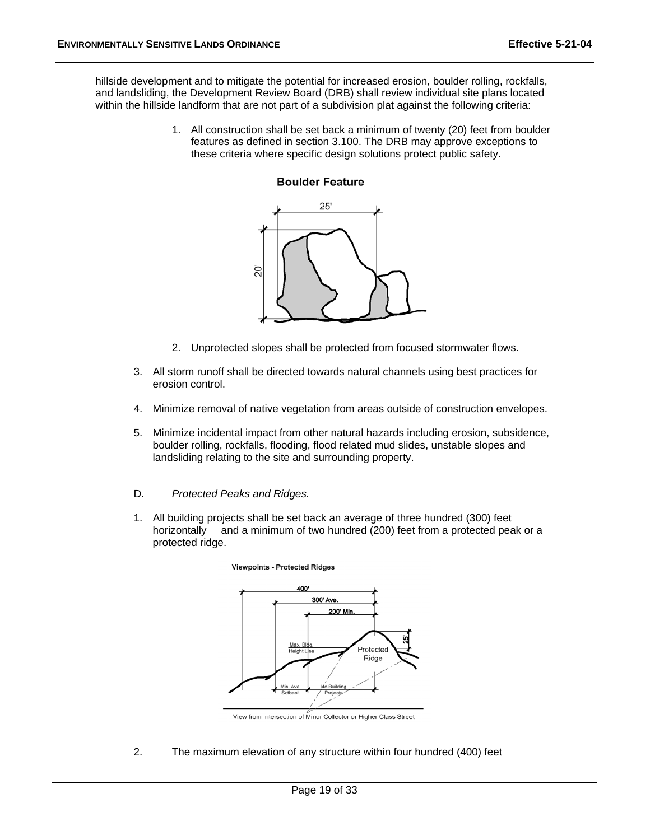hillside development and to mitigate the potential for increased erosion, boulder rolling, rockfalls, and landsliding, the Development Review Board (DRB) shall review individual site plans located within the hillside landform that are not part of a subdivision plat against the following criteria:

> 1. All construction shall be set back a minimum of twenty (20) feet from boulder features as defined in section 3.100. The DRB may approve exceptions to these criteria where specific design solutions protect public safety.

# **Boulder Feature**



- 2. Unprotected slopes shall be protected from focused stormwater flows.
- 3. All storm runoff shall be directed towards natural channels using best practices for erosion control.
- 4. Minimize removal of native vegetation from areas outside of construction envelopes.
- 5. Minimize incidental impact from other natural hazards including erosion, subsidence, boulder rolling, rockfalls, flooding, flood related mud slides, unstable slopes and landsliding relating to the site and surrounding property.
- D. *Protected Peaks and Ridges.*
- 1. All building projects shall be set back an average of three hundred (300) feet horizontally and a minimum of two hundred (200) feet from a protected peak or a protected ridge.



**Viewpoints - Protected Ridges** 

View from Intersection of Minor Collector or Higher Class Street

2. The maximum elevation of any structure within four hundred (400) feet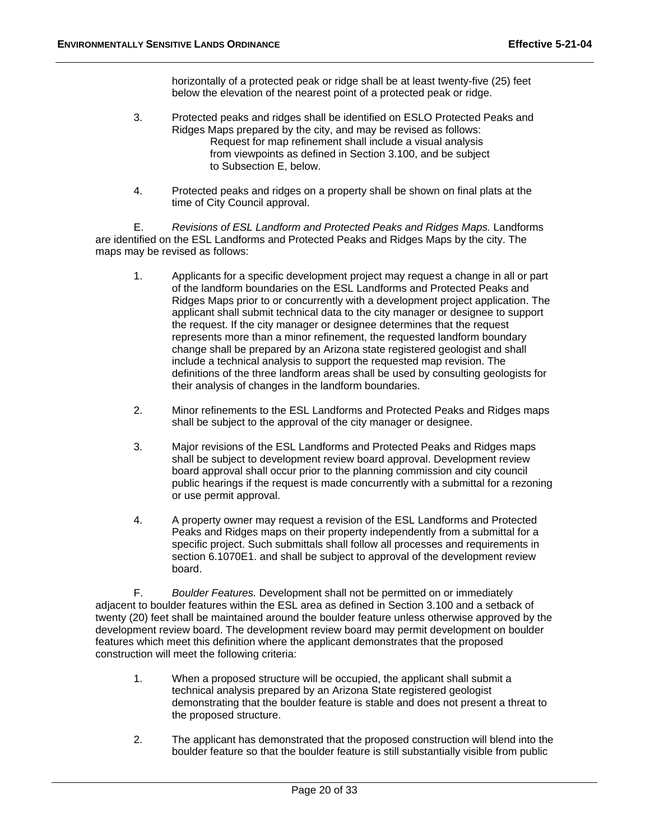horizontally of a protected peak or ridge shall be at least twenty-five (25) feet below the elevation of the nearest point of a protected peak or ridge.

- 3. Protected peaks and ridges shall be identified on ESLO Protected Peaks and Ridges Maps prepared by the city, and may be revised as follows: Request for map refinement shall include a visual analysis from viewpoints as defined in Section 3.100, and be subject to Subsection E, below.
- 4. Protected peaks and ridges on a property shall be shown on final plats at the time of City Council approval.

 E. *Revisions of ESL Landform and Protected Peaks and Ridges Maps.* Landforms are identified on the ESL Landforms and Protected Peaks and Ridges Maps by the city. The maps may be revised as follows:

- 1. Applicants for a specific development project may request a change in all or part of the landform boundaries on the ESL Landforms and Protected Peaks and Ridges Maps prior to or concurrently with a development project application. The applicant shall submit technical data to the city manager or designee to support the request. If the city manager or designee determines that the request represents more than a minor refinement, the requested landform boundary change shall be prepared by an Arizona state registered geologist and shall include a technical analysis to support the requested map revision. The definitions of the three landform areas shall be used by consulting geologists for their analysis of changes in the landform boundaries.
- 2. Minor refinements to the ESL Landforms and Protected Peaks and Ridges maps shall be subject to the approval of the city manager or designee.
- 3. Major revisions of the ESL Landforms and Protected Peaks and Ridges maps shall be subject to development review board approval. Development review board approval shall occur prior to the planning commission and city council public hearings if the request is made concurrently with a submittal for a rezoning or use permit approval.
- 4. A property owner may request a revision of the ESL Landforms and Protected Peaks and Ridges maps on their property independently from a submittal for a specific project. Such submittals shall follow all processes and requirements in section 6.1070E1. and shall be subject to approval of the development review board.

 F. *Boulder Features.* Development shall not be permitted on or immediately adjacent to boulder features within the ESL area as defined in Section 3.100 and a setback of twenty (20) feet shall be maintained around the boulder feature unless otherwise approved by the development review board. The development review board may permit development on boulder features which meet this definition where the applicant demonstrates that the proposed construction will meet the following criteria:

- 1. When a proposed structure will be occupied, the applicant shall submit a technical analysis prepared by an Arizona State registered geologist demonstrating that the boulder feature is stable and does not present a threat to the proposed structure.
- 2. The applicant has demonstrated that the proposed construction will blend into the boulder feature so that the boulder feature is still substantially visible from public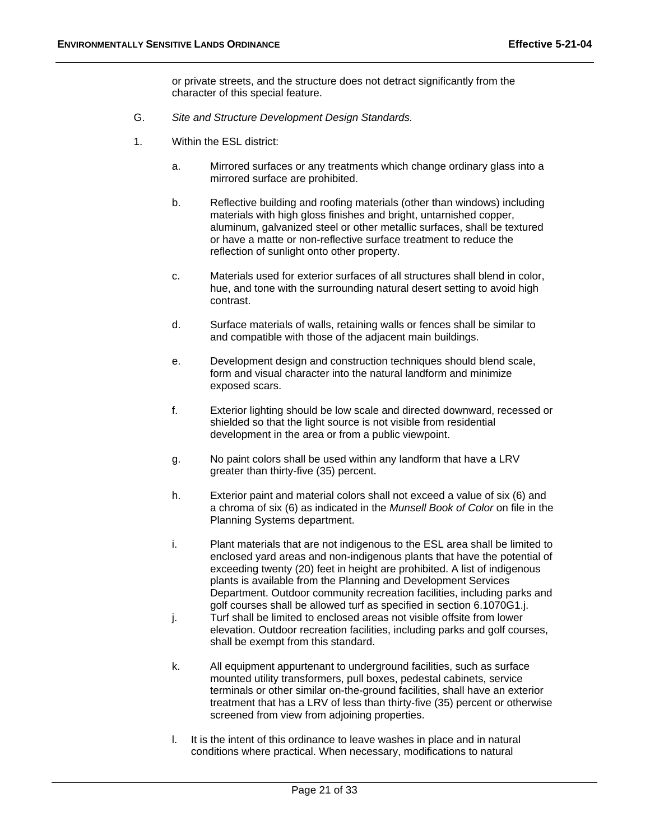or private streets, and the structure does not detract significantly from the character of this special feature.

- G. *Site and Structure Development Design Standards.*
- 1. Within the ESL district:
	- a. Mirrored surfaces or any treatments which change ordinary glass into a mirrored surface are prohibited.
	- b. Reflective building and roofing materials (other than windows) including materials with high gloss finishes and bright, untarnished copper, aluminum, galvanized steel or other metallic surfaces, shall be textured or have a matte or non-reflective surface treatment to reduce the reflection of sunlight onto other property.
	- c. Materials used for exterior surfaces of all structures shall blend in color, hue, and tone with the surrounding natural desert setting to avoid high contrast.
	- d. Surface materials of walls, retaining walls or fences shall be similar to and compatible with those of the adjacent main buildings.
	- e. Development design and construction techniques should blend scale, form and visual character into the natural landform and minimize exposed scars.
	- f. Exterior lighting should be low scale and directed downward, recessed or shielded so that the light source is not visible from residential development in the area or from a public viewpoint.
	- g. No paint colors shall be used within any landform that have a LRV greater than thirty-five (35) percent.
	- h. Exterior paint and material colors shall not exceed a value of six (6) and a chroma of six (6) as indicated in the *Munsell Book of Color* on file in the Planning Systems department.
	- i. Plant materials that are not indigenous to the ESL area shall be limited to enclosed yard areas and non-indigenous plants that have the potential of exceeding twenty (20) feet in height are prohibited. A list of indigenous plants is available from the Planning and Development Services Department. Outdoor community recreation facilities, including parks and golf courses shall be allowed turf as specified in section 6.1070G1.j.
	- j. Turf shall be limited to enclosed areas not visible offsite from lower elevation. Outdoor recreation facilities, including parks and golf courses, shall be exempt from this standard.
	- k. All equipment appurtenant to underground facilities, such as surface mounted utility transformers, pull boxes, pedestal cabinets, service terminals or other similar on-the-ground facilities, shall have an exterior treatment that has a LRV of less than thirty-five (35) percent or otherwise screened from view from adjoining properties.
	- l. It is the intent of this ordinance to leave washes in place and in natural conditions where practical. When necessary, modifications to natural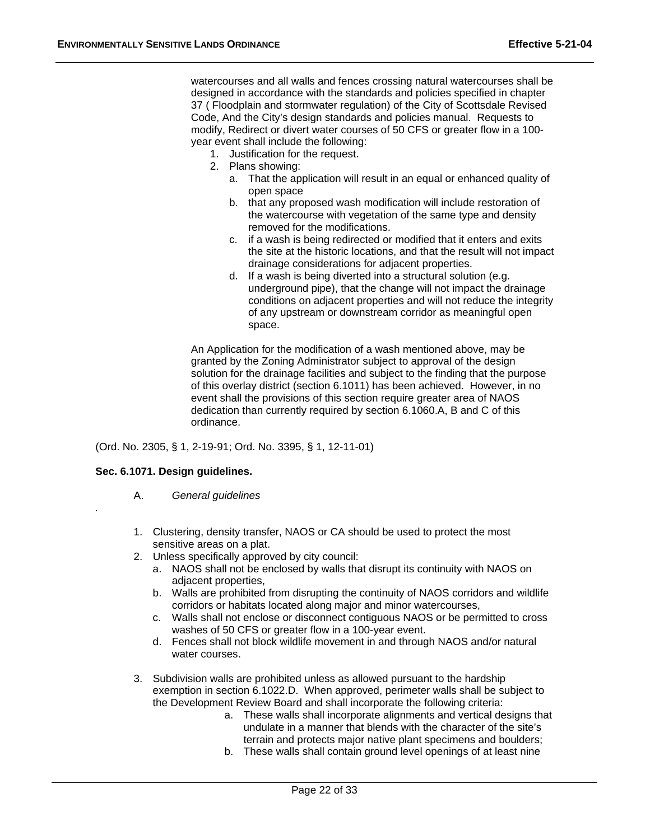watercourses and all walls and fences crossing natural watercourses shall be designed in accordance with the standards and policies specified in chapter 37 ( Floodplain and stormwater regulation) of the City of Scottsdale Revised Code, And the City's design standards and policies manual. Requests to modify, Redirect or divert water courses of 50 CFS or greater flow in a 100 year event shall include the following:

- 1. Justification for the request.
- 2. Plans showing:
	- a. That the application will result in an equal or enhanced quality of open space
	- b. that any proposed wash modification will include restoration of the watercourse with vegetation of the same type and density removed for the modifications.
	- c. if a wash is being redirected or modified that it enters and exits the site at the historic locations, and that the result will not impact drainage considerations for adjacent properties.
	- d. If a wash is being diverted into a structural solution (e.g. underground pipe), that the change will not impact the drainage conditions on adjacent properties and will not reduce the integrity of any upstream or downstream corridor as meaningful open space.

An Application for the modification of a wash mentioned above, may be granted by the Zoning Administrator subject to approval of the design solution for the drainage facilities and subject to the finding that the purpose of this overlay district (section 6.1011) has been achieved. However, in no event shall the provisions of this section require greater area of NAOS dedication than currently required by section 6.1060.A, B and C of this ordinance.

(Ord. No. 2305, § 1, 2-19-91; Ord. No. 3395, § 1, 12-11-01)

# **Sec. 6.1071. Design guidelines.**

*.*

- A. *General guidelines*
- 1. Clustering, density transfer, NAOS or CA should be used to protect the most sensitive areas on a plat.
- 2. Unless specifically approved by city council:
	- a. NAOS shall not be enclosed by walls that disrupt its continuity with NAOS on adjacent properties,
	- b. Walls are prohibited from disrupting the continuity of NAOS corridors and wildlife corridors or habitats located along major and minor watercourses,
	- c. Walls shall not enclose or disconnect contiguous NAOS or be permitted to cross washes of 50 CFS or greater flow in a 100-year event.
	- d. Fences shall not block wildlife movement in and through NAOS and/or natural water courses.
- 3. Subdivision walls are prohibited unless as allowed pursuant to the hardship exemption in section 6.1022.D. When approved, perimeter walls shall be subject to the Development Review Board and shall incorporate the following criteria:
	- a. These walls shall incorporate alignments and vertical designs that undulate in a manner that blends with the character of the site's terrain and protects major native plant specimens and boulders;
	- b. These walls shall contain ground level openings of at least nine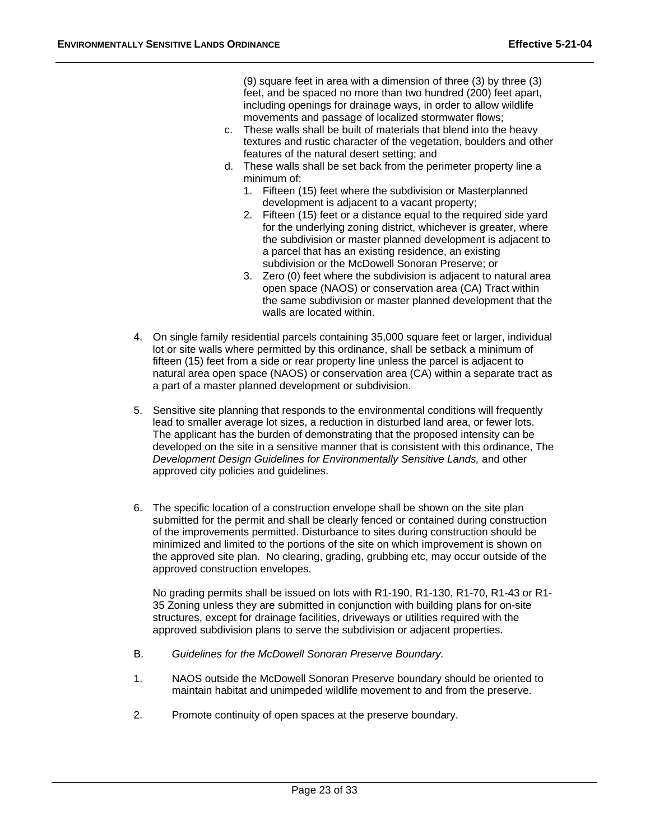(9) square feet in area with a dimension of three (3) by three (3) feet, and be spaced no more than two hundred (200) feet apart, including openings for drainage ways, in order to allow wildlife movements and passage of localized stormwater flows;

- c. These walls shall be built of materials that blend into the heavy textures and rustic character of the vegetation, boulders and other features of the natural desert setting; and
- d. These walls shall be set back from the perimeter property line a minimum of:
	- 1. Fifteen (15) feet where the subdivision or Masterplanned development is adjacent to a vacant property;
	- 2. Fifteen (15) feet or a distance equal to the required side yard for the underlying zoning district, whichever is greater, where the subdivision or master planned development is adjacent to a parcel that has an existing residence, an existing subdivision or the McDowell Sonoran Preserve; or
	- 3. Zero (0) feet where the subdivision is adjacent to natural area open space (NAOS) or conservation area (CA) Tract within the same subdivision or master planned development that the walls are located within.
- 4. On single family residential parcels containing 35,000 square feet or larger, individual lot or site walls where permitted by this ordinance, shall be setback a minimum of fifteen (15) feet from a side or rear property line unless the parcel is adjacent to natural area open space (NAOS) or conservation area (CA) within a separate tract as a part of a master planned development or subdivision.
- 5. Sensitive site planning that responds to the environmental conditions will frequently lead to smaller average lot sizes, a reduction in disturbed land area, or fewer lots. The applicant has the burden of demonstrating that the proposed intensity can be developed on the site in a sensitive manner that is consistent with this ordinance, The *Development Design Guidelines for Environmentally Sensitive Lands,* and other approved city policies and guidelines.
- 6. The specific location of a construction envelope shall be shown on the site plan submitted for the permit and shall be clearly fenced or contained during construction of the improvements permitted. Disturbance to sites during construction should be minimized and limited to the portions of the site on which improvement is shown on the approved site plan. No clearing, grading, grubbing etc, may occur outside of the approved construction envelopes.

No grading permits shall be issued on lots with R1-190, R1-130, R1-70, R1-43 or R1- 35 Zoning unless they are submitted in conjunction with building plans for on-site structures, except for drainage facilities, driveways or utilities required with the approved subdivision plans to serve the subdivision or adjacent properties.

- B. *Guidelines for the McDowell Sonoran Preserve Boundary.*
- 1. NAOS outside the McDowell Sonoran Preserve boundary should be oriented to maintain habitat and unimpeded wildlife movement to and from the preserve.
- 2. Promote continuity of open spaces at the preserve boundary.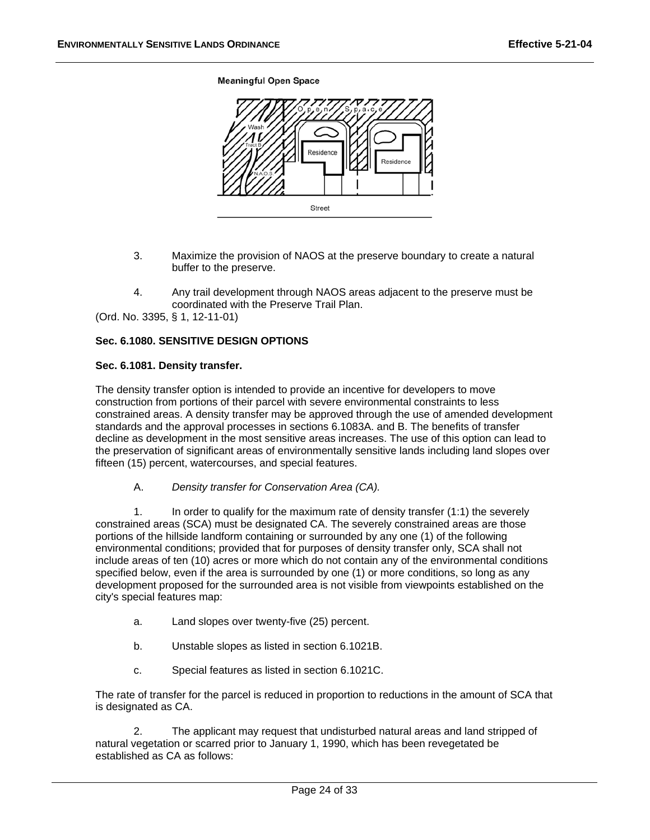**Meaningful Open Space** 



- 3. Maximize the provision of NAOS at the preserve boundary to create a natural buffer to the preserve.
- 4. Any trail development through NAOS areas adjacent to the preserve must be coordinated with the Preserve Trail Plan.

(Ord. No. 3395, § 1, 12-11-01)

# **Sec. 6.1080. SENSITIVE DESIGN OPTIONS**

#### Sec. 6.1081. Density transfer.

The density transfer option is intended to provide an incentive for developers to move construction from portions of their parcel with severe environmental constraints to less constrained areas. A density transfer may be approved through the use of amended development standards and the approval processes in sections 6.1083A. and B. The benefits of transfer decline as development in the most sensitive areas increases. The use of this option can lead to the preservation of significant areas of environmentally sensitive lands including land slopes over fifteen (15) percent, watercourses, and special features.

A. *Density transfer for Conservation Area (CA).*

 1. In order to qualify for the maximum rate of density transfer (1:1) the severely constrained areas (SCA) must be designated CA. The severely constrained areas are those portions of the hillside landform containing or surrounded by any one (1) of the following environmental conditions; provided that for purposes of density transfer only, SCA shall not include areas of ten (10) acres or more which do not contain any of the environmental conditions specified below, even if the area is surrounded by one (1) or more conditions, so long as any development proposed for the surrounded area is not visible from viewpoints established on the city's special features map:

- a. Land slopes over twenty-five (25) percent.
- b. Unstable slopes as listed in section 6.1021B.
- c. Special features as listed in section 6.1021C.

The rate of transfer for the parcel is reduced in proportion to reductions in the amount of SCA that is designated as CA.

 2. The applicant may request that undisturbed natural areas and land stripped of natural vegetation or scarred prior to January 1, 1990, which has been revegetated be established as CA as follows: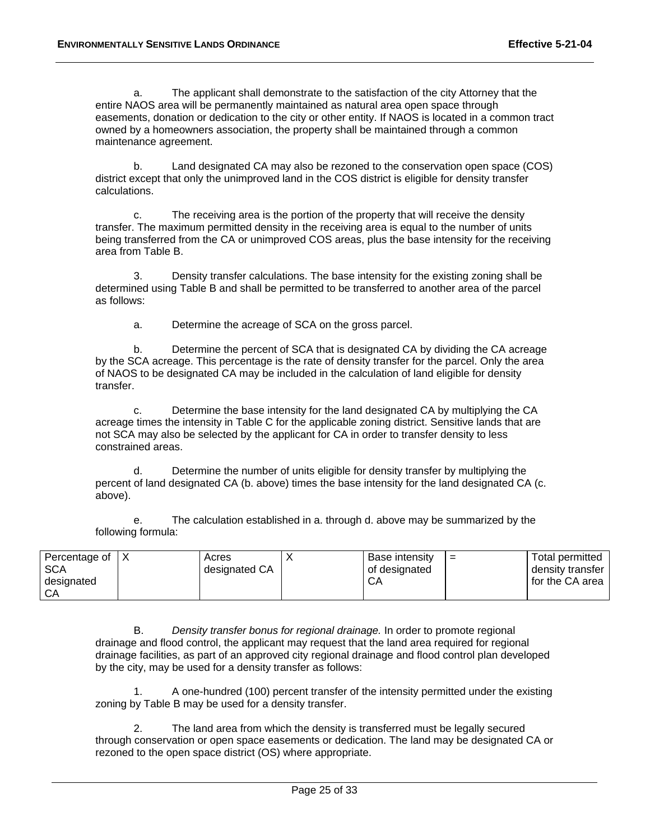a. The applicant shall demonstrate to the satisfaction of the city Attorney that the entire NAOS area will be permanently maintained as natural area open space through easements, donation or dedication to the city or other entity. If NAOS is located in a common tract owned by a homeowners association, the property shall be maintained through a common maintenance agreement.

 b. Land designated CA may also be rezoned to the conservation open space (COS) district except that only the unimproved land in the COS district is eligible for density transfer calculations.

 c. The receiving area is the portion of the property that will receive the density transfer. The maximum permitted density in the receiving area is equal to the number of units being transferred from the CA or unimproved COS areas, plus the base intensity for the receiving area from Table B.

 3. Density transfer calculations. The base intensity for the existing zoning shall be determined using Table B and shall be permitted to be transferred to another area of the parcel as follows:

a. Determine the acreage of SCA on the gross parcel.

 b. Determine the percent of SCA that is designated CA by dividing the CA acreage by the SCA acreage. This percentage is the rate of density transfer for the parcel. Only the area of NAOS to be designated CA may be included in the calculation of land eligible for density transfer.

 c. Determine the base intensity for the land designated CA by multiplying the CA acreage times the intensity in Table C for the applicable zoning district. Sensitive lands that are not SCA may also be selected by the applicant for CA in order to transfer density to less constrained areas.

 d. Determine the number of units eligible for density transfer by multiplying the percent of land designated CA (b. above) times the base intensity for the land designated CA (c. above).

 e. The calculation established in a. through d. above may be summarized by the following formula:

| Percentage of | Acres         | Base intensity | $=$ | Total permitted     |
|---------------|---------------|----------------|-----|---------------------|
| <b>SCA</b>    | designated CA | of designated  |     | density transfer    |
| designated    |               | CА             |     | I for the CA area I |
| CА            |               |                |     |                     |

 B. *Density transfer bonus for regional drainage.* In order to promote regional drainage and flood control, the applicant may request that the land area required for regional drainage facilities, as part of an approved city regional drainage and flood control plan developed by the city, may be used for a density transfer as follows:

 1. A one-hundred (100) percent transfer of the intensity permitted under the existing zoning by Table B may be used for a density transfer.

 2. The land area from which the density is transferred must be legally secured through conservation or open space easements or dedication. The land may be designated CA or rezoned to the open space district (OS) where appropriate.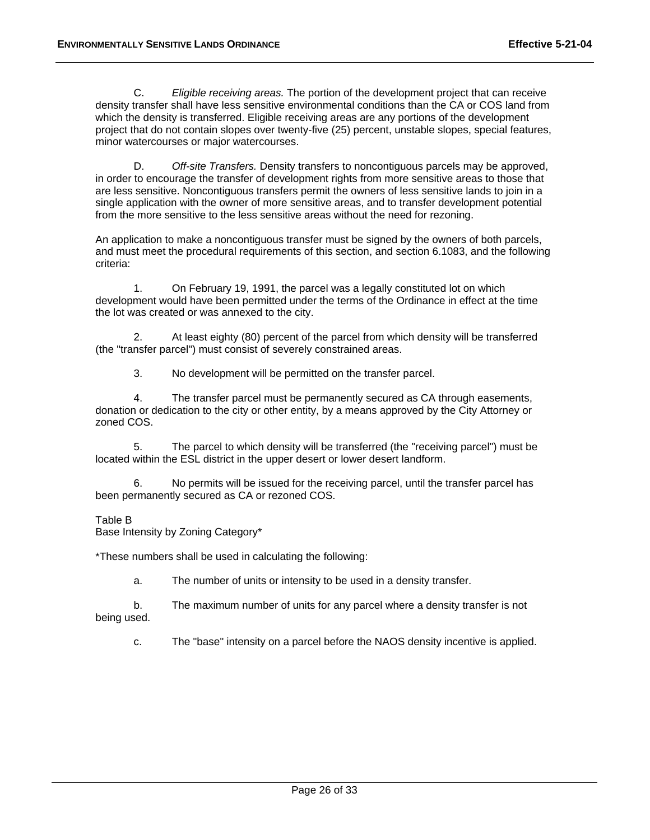C. *Eligible receiving areas.* The portion of the development project that can receive density transfer shall have less sensitive environmental conditions than the CA or COS land from which the density is transferred. Eligible receiving areas are any portions of the development project that do not contain slopes over twenty-five (25) percent, unstable slopes, special features, minor watercourses or major watercourses.

 D. *Off-site Transfers.* Density transfers to noncontiguous parcels may be approved, in order to encourage the transfer of development rights from more sensitive areas to those that are less sensitive. Noncontiguous transfers permit the owners of less sensitive lands to join in a single application with the owner of more sensitive areas, and to transfer development potential from the more sensitive to the less sensitive areas without the need for rezoning.

An application to make a noncontiguous transfer must be signed by the owners of both parcels, and must meet the procedural requirements of this section, and section 6.1083, and the following criteria:

 1. On February 19, 1991, the parcel was a legally constituted lot on which development would have been permitted under the terms of the Ordinance in effect at the time the lot was created or was annexed to the city.

 2. At least eighty (80) percent of the parcel from which density will be transferred (the "transfer parcel") must consist of severely constrained areas.

3. No development will be permitted on the transfer parcel.

 4. The transfer parcel must be permanently secured as CA through easements, donation or dedication to the city or other entity, by a means approved by the City Attorney or zoned COS.

 5. The parcel to which density will be transferred (the "receiving parcel") must be located within the ESL district in the upper desert or lower desert landform.

 6. No permits will be issued for the receiving parcel, until the transfer parcel has been permanently secured as CA or rezoned COS.

#### Table B

Base Intensity by Zoning Category\*

\*These numbers shall be used in calculating the following:

a. The number of units or intensity to be used in a density transfer.

 b. The maximum number of units for any parcel where a density transfer is not being used.

c. The "base" intensity on a parcel before the NAOS density incentive is applied.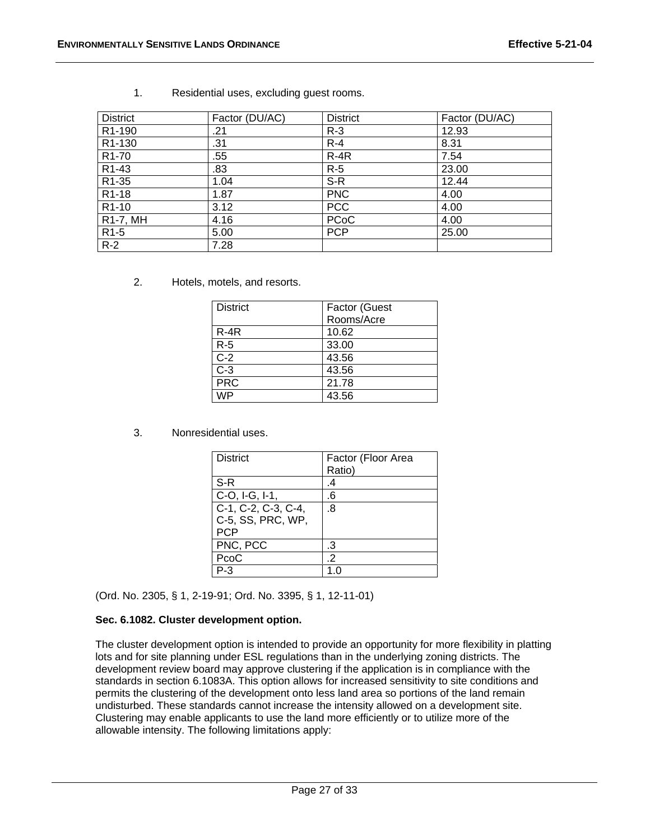| <b>District</b>     | Factor (DU/AC) | <b>District</b> | Factor (DU/AC) |
|---------------------|----------------|-----------------|----------------|
| R <sub>1</sub> -190 | .21            | $R-3$           | 12.93          |
| R <sub>1</sub> -130 | .31            | $R - 4$         | 8.31           |
| R <sub>1</sub> -70  | .55            | $R-4R$          | 7.54           |
| R <sub>1</sub> -43  | .83            | $R-5$           | 23.00          |
| R1-35               | 1.04           | S-R             | 12.44          |
| R <sub>1</sub> -18  | 1.87           | <b>PNC</b>      | 4.00           |
| R <sub>1</sub> -10  | 3.12           | <b>PCC</b>      | 4.00           |
| R1-7, MH            | 4.16           | <b>PCoC</b>     | 4.00           |
| R <sub>1</sub> -5   | 5.00           | <b>PCP</b>      | 25.00          |
| $R-2$               | 7.28           |                 |                |

1. Residential uses, excluding guest rooms.

2. Hotels, motels, and resorts.

| <b>District</b>  | Factor (Guest |
|------------------|---------------|
|                  | Rooms/Acre    |
| $R-4R$           | 10.62         |
| $R-5$            | 33.00         |
| $C-2$            | 43.56         |
| $\overline{C-3}$ | 43.56         |
| <b>PRC</b>       | 21.78         |
| M/P              | 43.56         |

3. Nonresidential uses.

| District            | Factor (Floor Area<br>Ratio) |
|---------------------|------------------------------|
|                     |                              |
| $S-R$               | .4                           |
| C-O, I-G, I-1,      | .6                           |
| C-1, C-2, C-3, C-4, | .8                           |
| C-5, SS, PRC, WP,   |                              |
| <b>PCP</b>          |                              |
| PNC, PCC            | .3                           |
| PcoC                | .2                           |
|                     |                              |

(Ord. No. 2305, § 1, 2-19-91; Ord. No. 3395, § 1, 12-11-01)

# Sec. 6.1082. Cluster development option.

The cluster development option is intended to provide an opportunity for more flexibility in platting lots and for site planning under ESL regulations than in the underlying zoning districts. The development review board may approve clustering if the application is in compliance with the standards in section 6.1083A. This option allows for increased sensitivity to site conditions and permits the clustering of the development onto less land area so portions of the land remain undisturbed. These standards cannot increase the intensity allowed on a development site. Clustering may enable applicants to use the land more efficiently or to utilize more of the allowable intensity. The following limitations apply: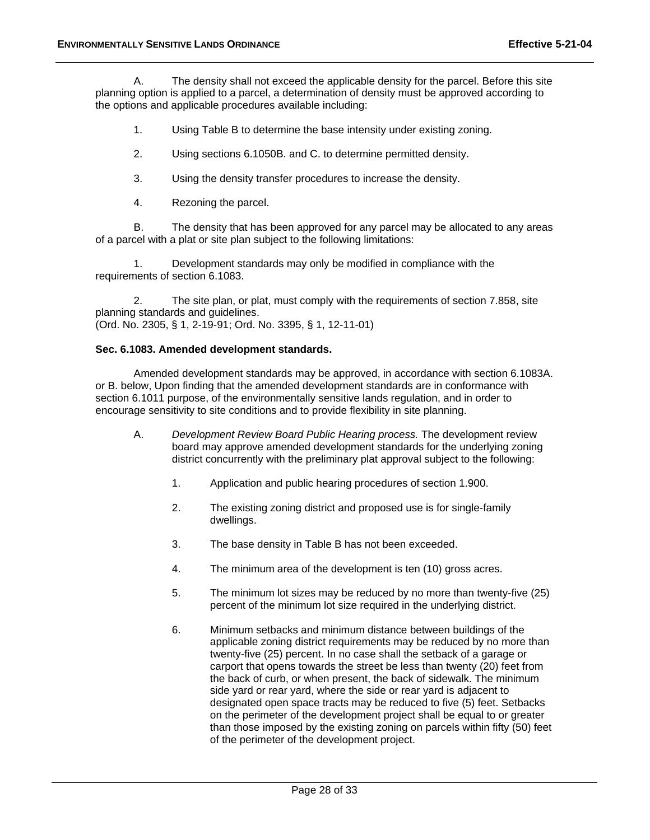A. The density shall not exceed the applicable density for the parcel. Before this site planning option is applied to a parcel, a determination of density must be approved according to the options and applicable procedures available including:

- 1. Using Table B to determine the base intensity under existing zoning.
- 2. Using sections 6.1050B. and C. to determine permitted density.
- 3. Using the density transfer procedures to increase the density.
- 4. Rezoning the parcel.

 B. The density that has been approved for any parcel may be allocated to any areas of a parcel with a plat or site plan subject to the following limitations:

 1. Development standards may only be modified in compliance with the requirements of section 6.1083.

 2. The site plan, or plat, must comply with the requirements of section 7.858, site planning standards and guidelines. (Ord. No. 2305, § 1, 2-19-91; Ord. No. 3395, § 1, 12-11-01)

#### **Sec. 6.1083. Amended development standards.**

Amended development standards may be approved, in accordance with section 6.1083A. or B. below, Upon finding that the amended development standards are in conformance with section 6.1011 purpose, of the environmentally sensitive lands regulation, and in order to encourage sensitivity to site conditions and to provide flexibility in site planning.

- A. *Development Review Board Public Hearing process.* The development review board may approve amended development standards for the underlying zoning district concurrently with the preliminary plat approval subject to the following:
	- 1. Application and public hearing procedures of section 1.900.
	- 2. The existing zoning district and proposed use is for single-family dwellings.
	- 3. The base density in Table B has not been exceeded.
	- 4. The minimum area of the development is ten (10) gross acres.
	- 5. The minimum lot sizes may be reduced by no more than twenty-five (25) percent of the minimum lot size required in the underlying district.
	- 6. Minimum setbacks and minimum distance between buildings of the applicable zoning district requirements may be reduced by no more than twenty-five (25) percent. In no case shall the setback of a garage or carport that opens towards the street be less than twenty (20) feet from the back of curb, or when present, the back of sidewalk. The minimum side yard or rear yard, where the side or rear yard is adjacent to designated open space tracts may be reduced to five (5) feet. Setbacks on the perimeter of the development project shall be equal to or greater than those imposed by the existing zoning on parcels within fifty (50) feet of the perimeter of the development project.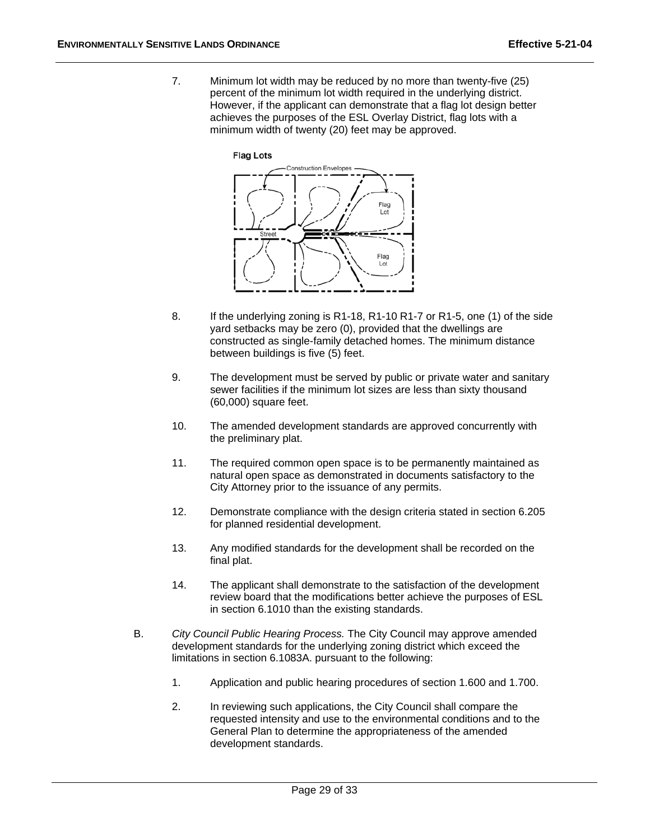7. Minimum lot width may be reduced by no more than twenty-five (25) percent of the minimum lot width required in the underlying district. However, if the applicant can demonstrate that a flag lot design better achieves the purposes of the ESL Overlay District, flag lots with a minimum width of twenty (20) feet may be approved.



- 8. If the underlying zoning is R1-18, R1-10 R1-7 or R1-5, one (1) of the side yard setbacks may be zero (0), provided that the dwellings are constructed as single-family detached homes. The minimum distance between buildings is five (5) feet.
- 9. The development must be served by public or private water and sanitary sewer facilities if the minimum lot sizes are less than sixty thousand (60,000) square feet.
- 10. The amended development standards are approved concurrently with the preliminary plat.
- 11. The required common open space is to be permanently maintained as natural open space as demonstrated in documents satisfactory to the City Attorney prior to the issuance of any permits.
- 12. Demonstrate compliance with the design criteria stated in section 6.205 for planned residential development.
- 13. Any modified standards for the development shall be recorded on the final plat.
- 14. The applicant shall demonstrate to the satisfaction of the development review board that the modifications better achieve the purposes of ESL in section 6.1010 than the existing standards.
- B. *City Council Public Hearing Process.* The City Council may approve amended development standards for the underlying zoning district which exceed the limitations in section 6.1083A. pursuant to the following:
	- 1. Application and public hearing procedures of section 1.600 and 1.700.
	- 2. In reviewing such applications, the City Council shall compare the requested intensity and use to the environmental conditions and to the General Plan to determine the appropriateness of the amended development standards.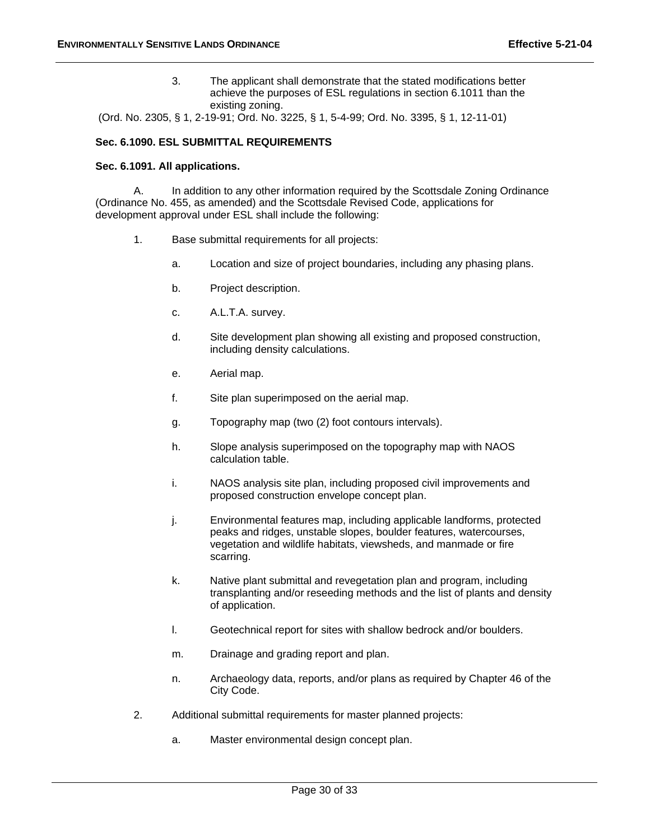3. The applicant shall demonstrate that the stated modifications better achieve the purposes of ESL regulations in section 6.1011 than the existing zoning.

(Ord. No. 2305, § 1, 2-19-91; Ord. No. 3225, § 1, 5-4-99; Ord. No. 3395, § 1, 12-11-01)

#### **Sec. 6.1090. ESL SUBMITTAL REQUIREMENTS**

#### **Sec. 6.1091. All applications.**

A. In addition to any other information required by the Scottsdale Zoning Ordinance (Ordinance No. 455, as amended) and the Scottsdale Revised Code, applications for development approval under ESL shall include the following:

- 1. Base submittal requirements for all projects:
	- a. Location and size of project boundaries, including any phasing plans.
	- b. Project description.
	- c. A.L.T.A. survey.
	- d. Site development plan showing all existing and proposed construction, including density calculations.
	- e. Aerial map.
	- f. Site plan superimposed on the aerial map.
	- g. Topography map (two (2) foot contours intervals).
	- h. Slope analysis superimposed on the topography map with NAOS calculation table.
	- i. NAOS analysis site plan, including proposed civil improvements and proposed construction envelope concept plan.
	- j. Environmental features map, including applicable landforms, protected peaks and ridges, unstable slopes, boulder features, watercourses, vegetation and wildlife habitats, viewsheds, and manmade or fire scarring.
	- k. Native plant submittal and revegetation plan and program, including transplanting and/or reseeding methods and the list of plants and density of application.
	- l. Geotechnical report for sites with shallow bedrock and/or boulders.
	- m. Drainage and grading report and plan.
	- n. Archaeology data, reports, and/or plans as required by Chapter 46 of the City Code.
- 2. Additional submittal requirements for master planned projects:
	- a. Master environmental design concept plan.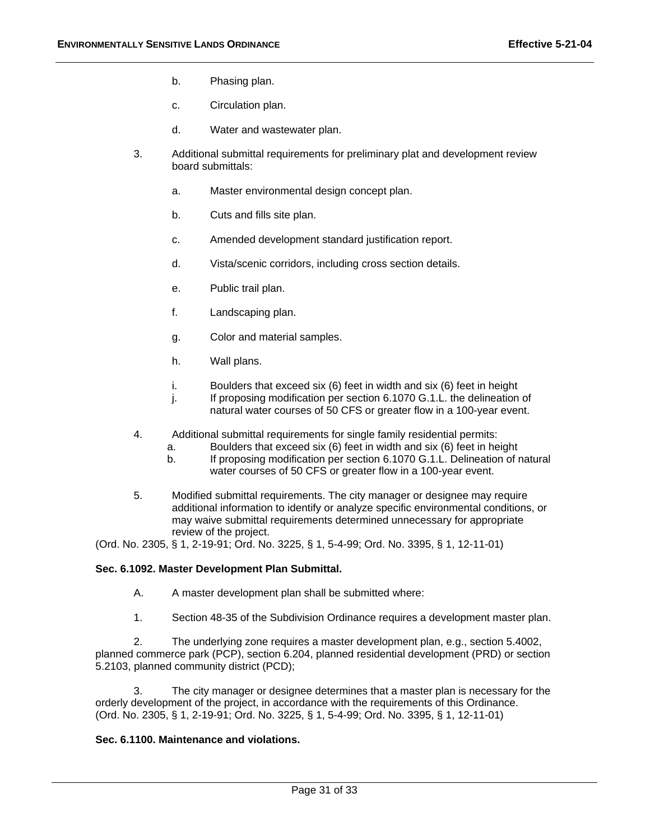- b. Phasing plan.
- c. Circulation plan.
- d. Water and wastewater plan.
- 3. Additional submittal requirements for preliminary plat and development review board submittals:
	- a. Master environmental design concept plan.
	- b. Cuts and fills site plan.
	- c. Amended development standard justification report.
	- d. Vista/scenic corridors, including cross section details.
	- e. Public trail plan.
	- f. Landscaping plan.
	- g. Color and material samples.
	- h. Wall plans.
	- i. Boulders that exceed six (6) feet in width and six (6) feet in height
	- j. If proposing modification per section 6.1070 G.1.L. the delineation of natural water courses of 50 CFS or greater flow in a 100-year event.
- 4. Additional submittal requirements for single family residential permits:
	- a. Boulders that exceed six (6) feet in width and six (6) feet in height
	- b. If proposing modification per section 6.1070 G.1.L. Delineation of natural water courses of 50 CFS or greater flow in a 100-year event.
- 5. Modified submittal requirements. The city manager or designee may require additional information to identify or analyze specific environmental conditions, or may waive submittal requirements determined unnecessary for appropriate review of the project.

(Ord. No. 2305, § 1, 2-19-91; Ord. No. 3225, § 1, 5-4-99; Ord. No. 3395, § 1, 12-11-01)

#### **Sec. 6.1092. Master Development Plan Submittal.**

- A. A master development plan shall be submitted where:
- 1. Section 48-35 of the Subdivision Ordinance requires a development master plan.

 2. The underlying zone requires a master development plan, e.g., section 5.4002, planned commerce park (PCP), section 6.204, planned residential development (PRD) or section 5.2103, planned community district (PCD);

 3. The city manager or designee determines that a master plan is necessary for the orderly development of the project, in accordance with the requirements of this Ordinance. (Ord. No. 2305, § 1, 2-19-91; Ord. No. 3225, § 1, 5-4-99; Ord. No. 3395, § 1, 12-11-01)

#### **Sec. 6.1100. Maintenance and violations.**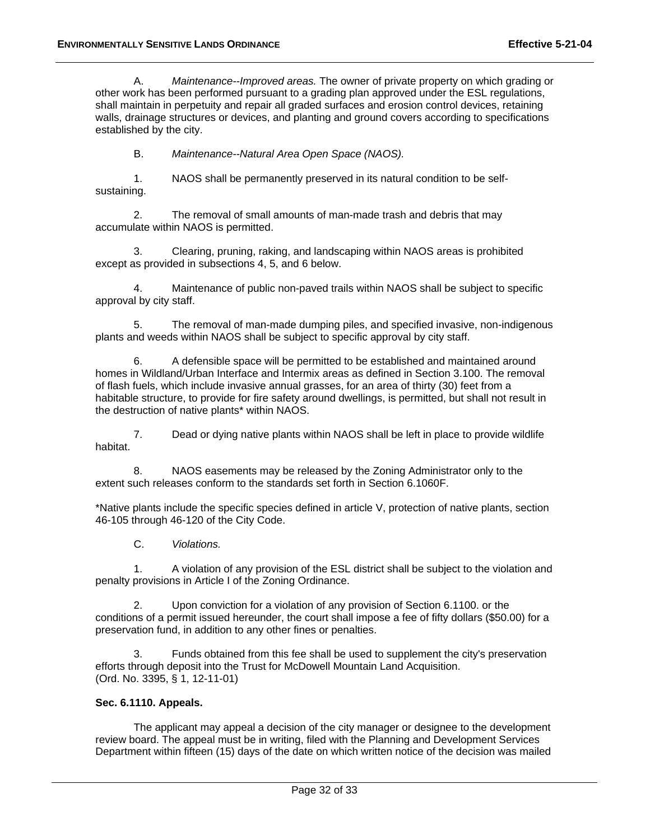A. *Maintenance--Improved areas.* The owner of private property on which grading or other work has been performed pursuant to a grading plan approved under the ESL regulations, shall maintain in perpetuity and repair all graded surfaces and erosion control devices, retaining walls, drainage structures or devices, and planting and ground covers according to specifications established by the city.

B. *Maintenance--Natural Area Open Space (NAOS).*

 1. NAOS shall be permanently preserved in its natural condition to be selfsustaining.

 2. The removal of small amounts of man-made trash and debris that may accumulate within NAOS is permitted.

 3. Clearing, pruning, raking, and landscaping within NAOS areas is prohibited except as provided in subsections 4, 5, and 6 below.

Maintenance of public non-paved trails within NAOS shall be subject to specific approval by city staff.

 5. The removal of man-made dumping piles, and specified invasive, non-indigenous plants and weeds within NAOS shall be subject to specific approval by city staff.

 6. A defensible space will be permitted to be established and maintained around homes in Wildland/Urban Interface and Intermix areas as defined in Section 3.100. The removal of flash fuels, which include invasive annual grasses, for an area of thirty (30) feet from a habitable structure, to provide for fire safety around dwellings, is permitted, but shall not result in the destruction of native plants\* within NAOS.

 7. Dead or dying native plants within NAOS shall be left in place to provide wildlife habitat.

 8. NAOS easements may be released by the Zoning Administrator only to the extent such releases conform to the standards set forth in Section 6.1060F.

\*Native plants include the specific species defined in article V, protection of native plants, section 46-105 through 46-120 of the City Code.

C. *Violations.*

 1. A violation of any provision of the ESL district shall be subject to the violation and penalty provisions in Article I of the Zoning Ordinance.

 2. Upon conviction for a violation of any provision of Section 6.1100. or the conditions of a permit issued hereunder, the court shall impose a fee of fifty dollars (\$50.00) for a preservation fund, in addition to any other fines or penalties.

 3. Funds obtained from this fee shall be used to supplement the city's preservation efforts through deposit into the Trust for McDowell Mountain Land Acquisition. (Ord. No. 3395, § 1, 12-11-01)

#### **Sec. 6.1110. Appeals.**

The applicant may appeal a decision of the city manager or designee to the development review board. The appeal must be in writing, filed with the Planning and Development Services Department within fifteen (15) days of the date on which written notice of the decision was mailed